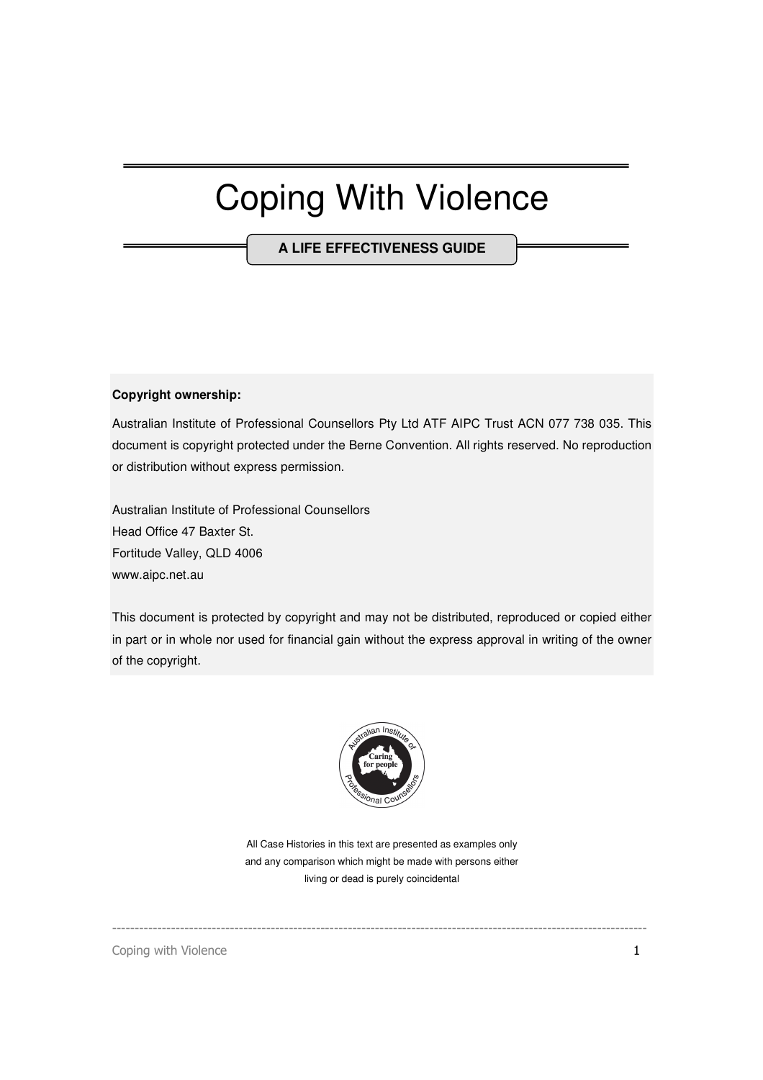## Coping With Violence

**A LIFE EFFECTIVENESS GUIDE**

#### **Copyright ownership:**

Australian Institute of Professional Counsellors Pty Ltd ATF AIPC Trust ACN 077 738 035. This document is copyright protected under the Berne Convention. All rights reserved. No reproduction or distribution without express permission.

Australian Institute of Professional Counsellors Head Office 47 Baxter St. Fortitude Valley, QLD 4006 www.aipc.net.au

This document is protected by copyright and may not be distributed, reproduced or copied either in part or in whole nor used for financial gain without the express approval in writing of the owner of the copyright.



All Case Histories in this text are presented as examples only and any comparison which might be made with persons either living or dead is purely coincidental

----------------------------------------------------------------------------------------------------------------------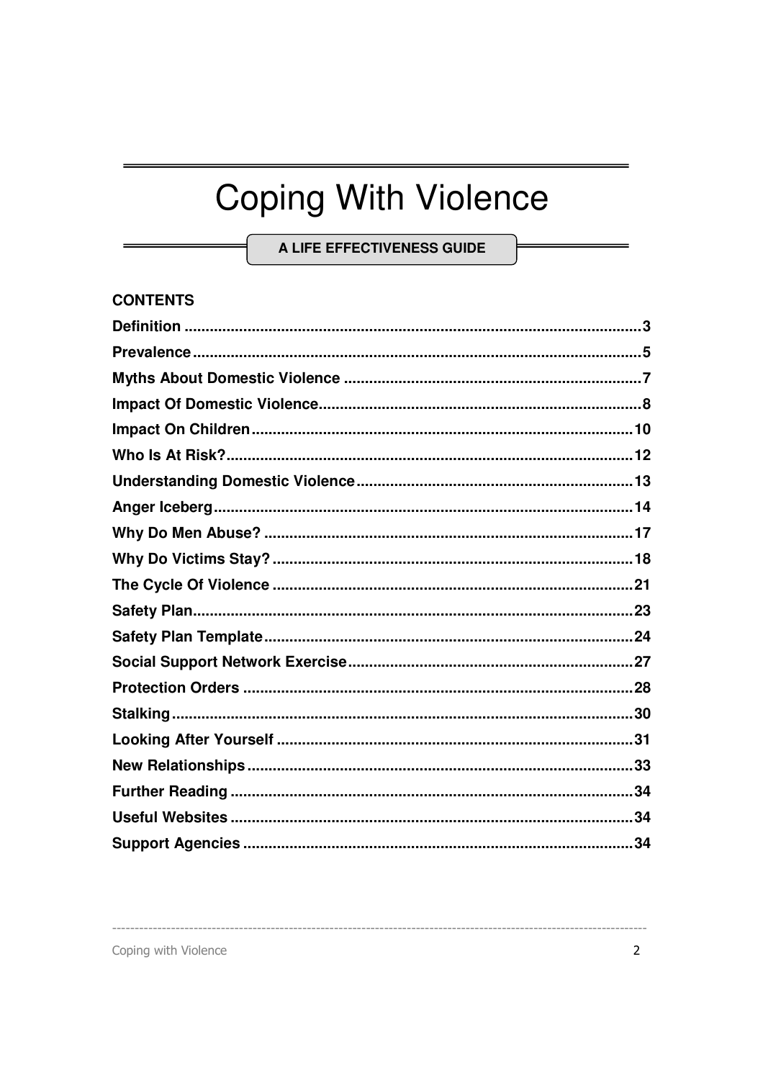# **Coping With Violence**

A LIFE EFFECTIVENESS GUIDE

### **CONTENTS**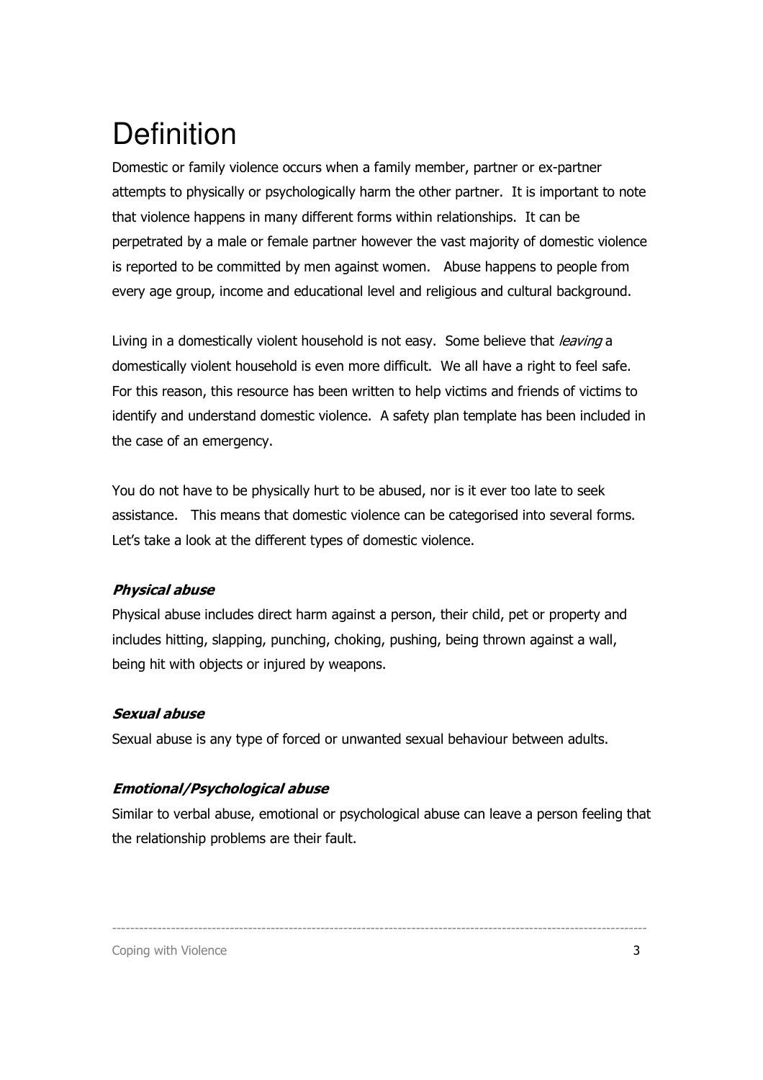## **Definition**

Domestic or family violence occurs when a family member, partner or ex-partner attempts to physically or psychologically harm the other partner. It is important to note that violence happens in many different forms within relationships. It can be perpetrated by a male or female partner however the vast majority of domestic violence is reported to be committed by men against women. Abuse happens to people from every age group, income and educational level and religious and cultural background.

Living in a domestically violent household is not easy. Some believe that *leaving* a domestically violent household is even more difficult. We all have a right to feel safe. For this reason, this resource has been written to help victims and friends of victims to identify and understand domestic violence. A safety plan template has been included in the case of an emergency.

You do not have to be physically hurt to be abused, nor is it ever too late to seek assistance. This means that domestic violence can be categorised into several forms. Let's take a look at the different types of domestic violence.

### Physical abuse

Physical abuse includes direct harm against a person, their child, pet or property and includes hitting, slapping, punching, choking, pushing, being thrown against a wall, being hit with objects or injured by weapons.

#### Sexual abuse

Sexual abuse is any type of forced or unwanted sexual behaviour between adults.

### Emotional/Psychological abuse

Similar to verbal abuse, emotional or psychological abuse can leave a person feeling that the relationship problems are their fault.

----------------------------------------------------------------------------------------------------------------------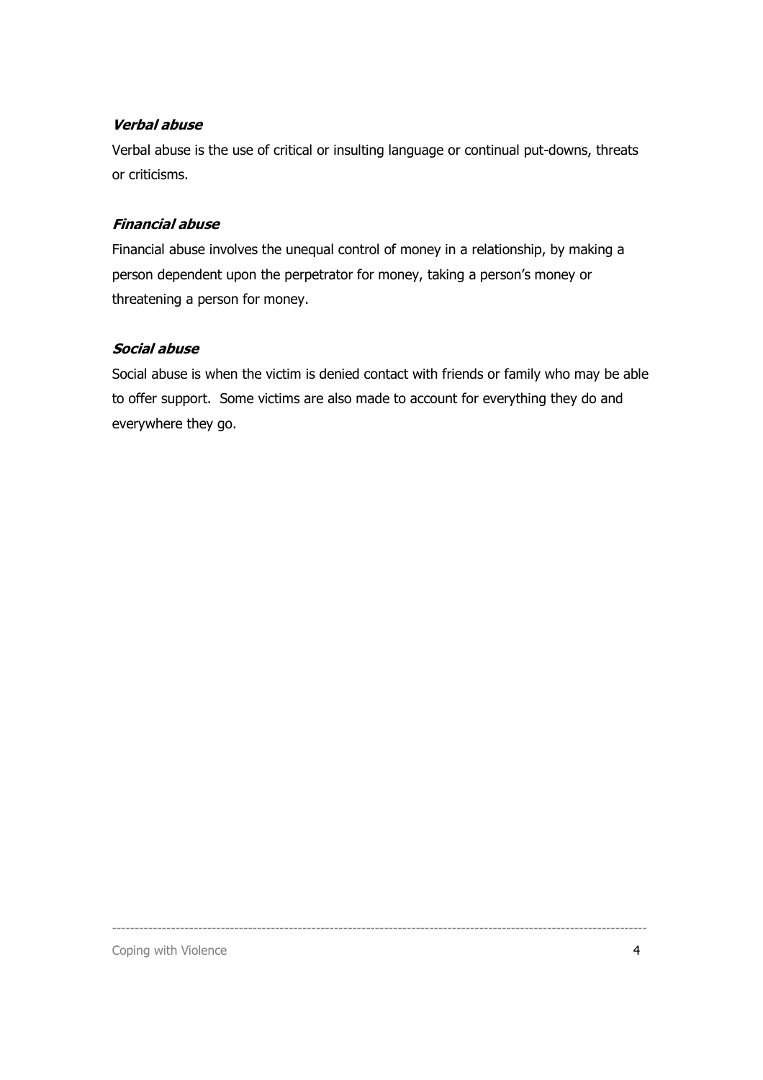#### Verbal abuse

Verbal abuse is the use of critical or insulting language or continual put-downs, threats or criticisms.

#### Financial abuse

Financial abuse involves the unequal control of money in a relationship, by making a person dependent upon the perpetrator for money, taking a person's money or threatening a person for money.

#### Social abuse

Social abuse is when the victim is denied contact with friends or family who may be able to offer support. Some victims are also made to account for everything they do and everywhere they go.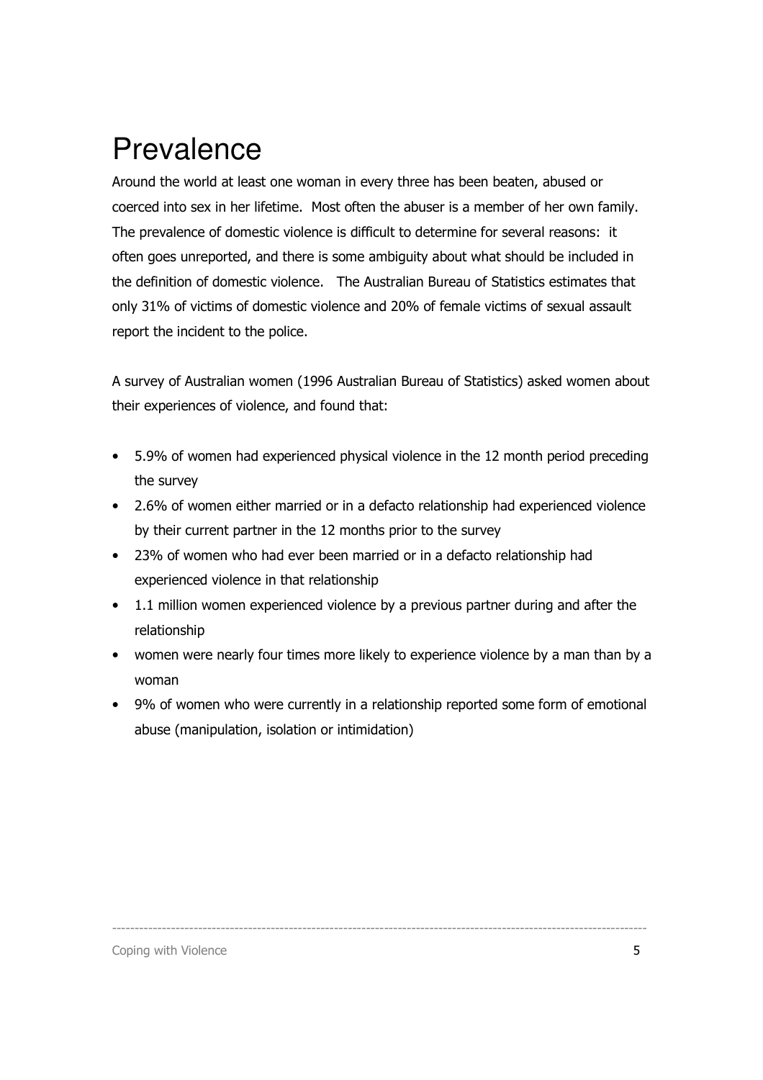### Prevalence

Around the world at least one woman in every three has been beaten, abused or coerced into sex in her lifetime. Most often the abuser is a member of her own family. The prevalence of domestic violence is difficult to determine for several reasons: it often goes unreported, and there is some ambiguity about what should be included in the definition of domestic violence. The Australian Bureau of Statistics estimates that only 31% of victims of domestic violence and 20% of female victims of sexual assault report the incident to the police.

A survey of Australian women (1996 Australian Bureau of Statistics) asked women about their experiences of violence, and found that:

- 5.9% of women had experienced physical violence in the 12 month period preceding the survey
- 2.6% of women either married or in a defacto relationship had experienced violence by their current partner in the 12 months prior to the survey
- 23% of women who had ever been married or in a defacto relationship had experienced violence in that relationship
- 1.1 million women experienced violence by a previous partner during and after the relationship
- women were nearly four times more likely to experience violence by a man than by a woman
- 9% of women who were currently in a relationship reported some form of emotional abuse (manipulation, isolation or intimidation)

----------------------------------------------------------------------------------------------------------------------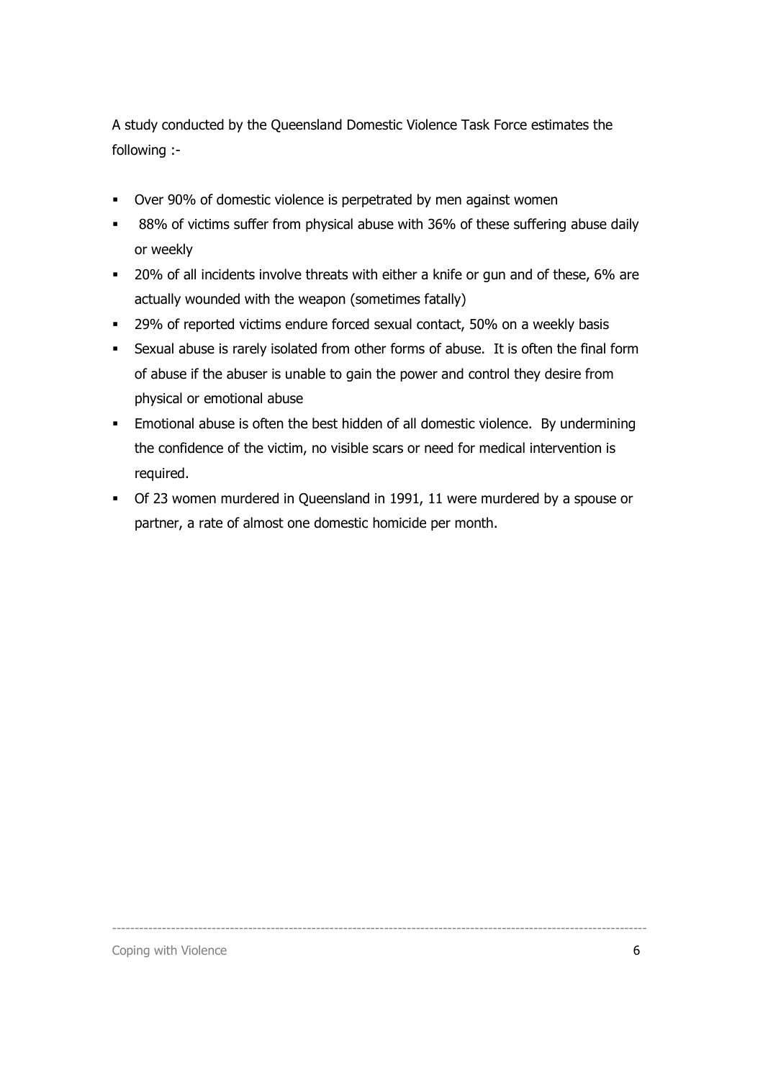A study conducted by the Queensland Domestic Violence Task Force estimates the following :-

- Over 90% of domestic violence is perpetrated by men against women
- **88%** of victims suffer from physical abuse with 36% of these suffering abuse daily or weekly
- **20% of all incidents involve threats with either a knife or gun and of these, 6% are** actually wounded with the weapon (sometimes fatally)
- <sup>29%</sup> of reported victims endure forced sexual contact, 50% on a weekly basis
- Sexual abuse is rarely isolated from other forms of abuse. It is often the final form of abuse if the abuser is unable to gain the power and control they desire from physical or emotional abuse
- Emotional abuse is often the best hidden of all domestic violence. By undermining the confidence of the victim, no visible scars or need for medical intervention is required.
- Of 23 women murdered in Queensland in 1991, 11 were murdered by a spouse or partner, a rate of almost one domestic homicide per month.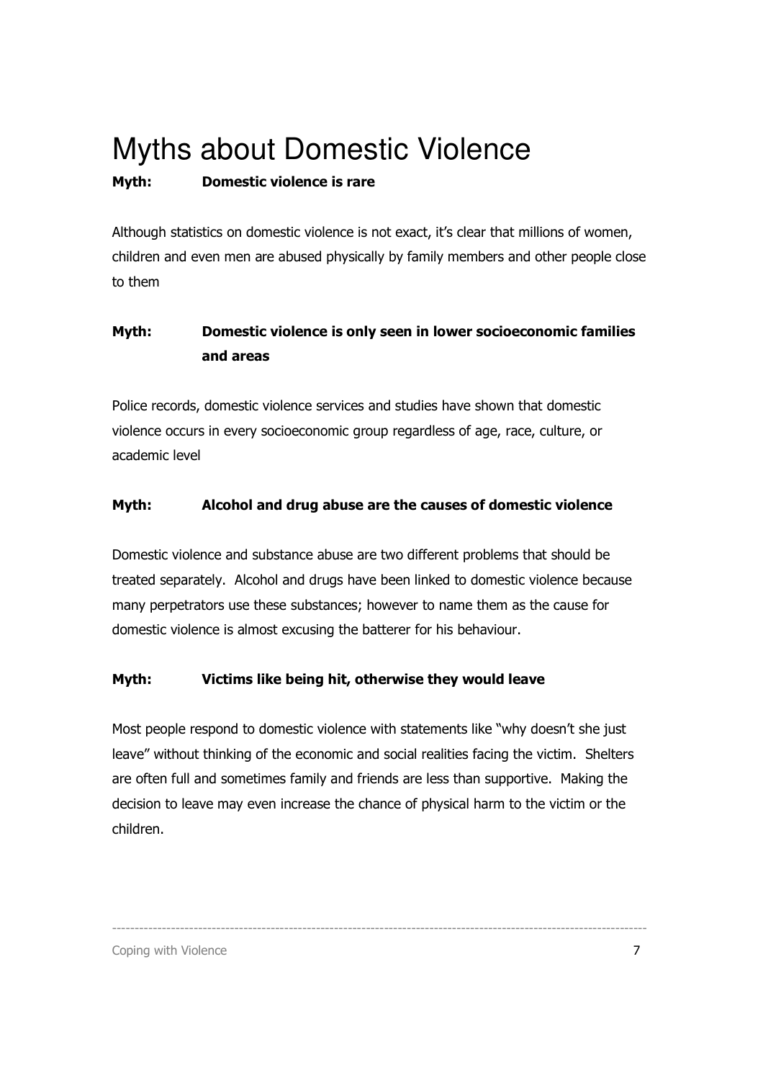## Myths about Domestic Violence

### Myth: Domestic violence is rare

Although statistics on domestic violence is not exact, it's clear that millions of women, children and even men are abused physically by family members and other people close to them

### Myth: Domestic violence is only seen in lower socioeconomic families and areas

Police records, domestic violence services and studies have shown that domestic violence occurs in every socioeconomic group regardless of age, race, culture, or academic level

### Myth: Alcohol and drug abuse are the causes of domestic violence

Domestic violence and substance abuse are two different problems that should be treated separately. Alcohol and drugs have been linked to domestic violence because many perpetrators use these substances; however to name them as the cause for domestic violence is almost excusing the batterer for his behaviour.

### Myth: Victims like being hit, otherwise they would leave

Most people respond to domestic violence with statements like "why doesn't she just leave" without thinking of the economic and social realities facing the victim. Shelters are often full and sometimes family and friends are less than supportive. Making the decision to leave may even increase the chance of physical harm to the victim or the children.

----------------------------------------------------------------------------------------------------------------------

Coping with Violence 7 and 2008 and 2008 and 2008 and 2008 and 2008 and 2008 and 2008 and 2008 and 2008 and 2008 and 2008 and 2008 and 2008 and 2008 and 2008 and 2008 and 2008 and 2008 and 2008 and 2008 and 2008 and 2008 a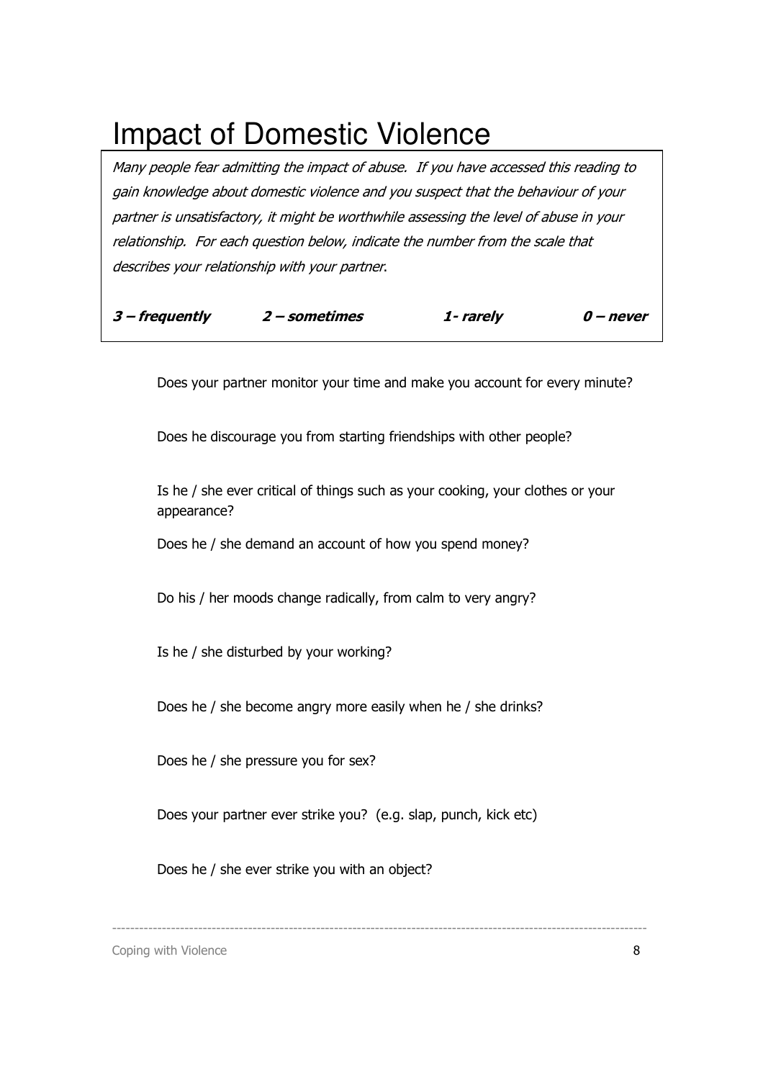### Impact of Domestic Violence

Many people fear admitting the impact of abuse. If you have accessed this reading to gain knowledge about domestic violence and you suspect that the behaviour of your partner is unsatisfactory, it might be worthwhile assessing the level of abuse in your relationship. For each question below, indicate the number from the scale that describes your relationship with your partner.

| $3$ – frequently | 2 – sometimes | 1- rarely | 0 – never |
|------------------|---------------|-----------|-----------|
|                  |               |           |           |

Does your partner monitor your time and make you account for every minute?

Does he discourage you from starting friendships with other people?

 Is he / she ever critical of things such as your cooking, your clothes or your appearance?

Does he / she demand an account of how you spend money?

Do his / her moods change radically, from calm to very angry?

Is he / she disturbed by your working?

Does he / she become angry more easily when he / she drinks?

Does he / she pressure you for sex?

Does your partner ever strike you? (e.g. slap, punch, kick etc)

----------------------------------------------------------------------------------------------------------------------

Does he / she ever strike you with an object?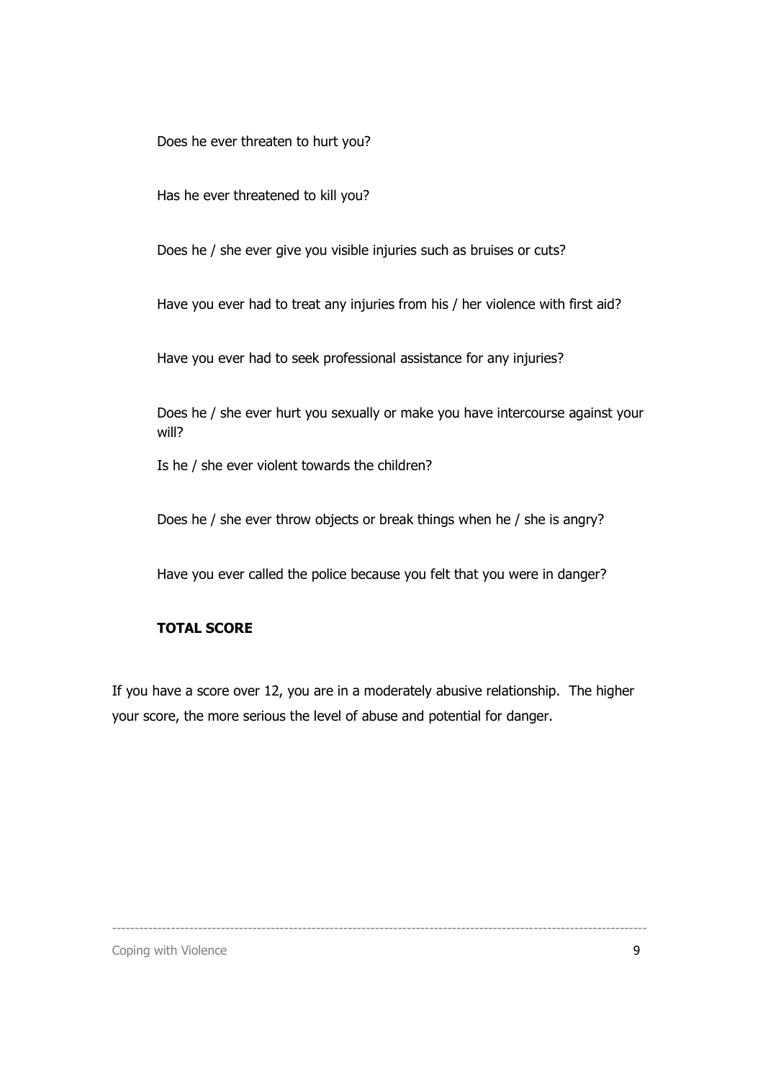Does he ever threaten to hurt you?

Has he ever threatened to kill you?

Does he / she ever give you visible injuries such as bruises or cuts?

Have you ever had to treat any injuries from his / her violence with first aid?

Have you ever had to seek professional assistance for any injuries?

 Does he / she ever hurt you sexually or make you have intercourse against your will?

Is he / she ever violent towards the children?

Does he / she ever throw objects or break things when he / she is angry?

Have you ever called the police because you felt that you were in danger?

#### TOTAL SCORE

If you have a score over 12, you are in a moderately abusive relationship. The higher your score, the more serious the level of abuse and potential for danger.

----------------------------------------------------------------------------------------------------------------------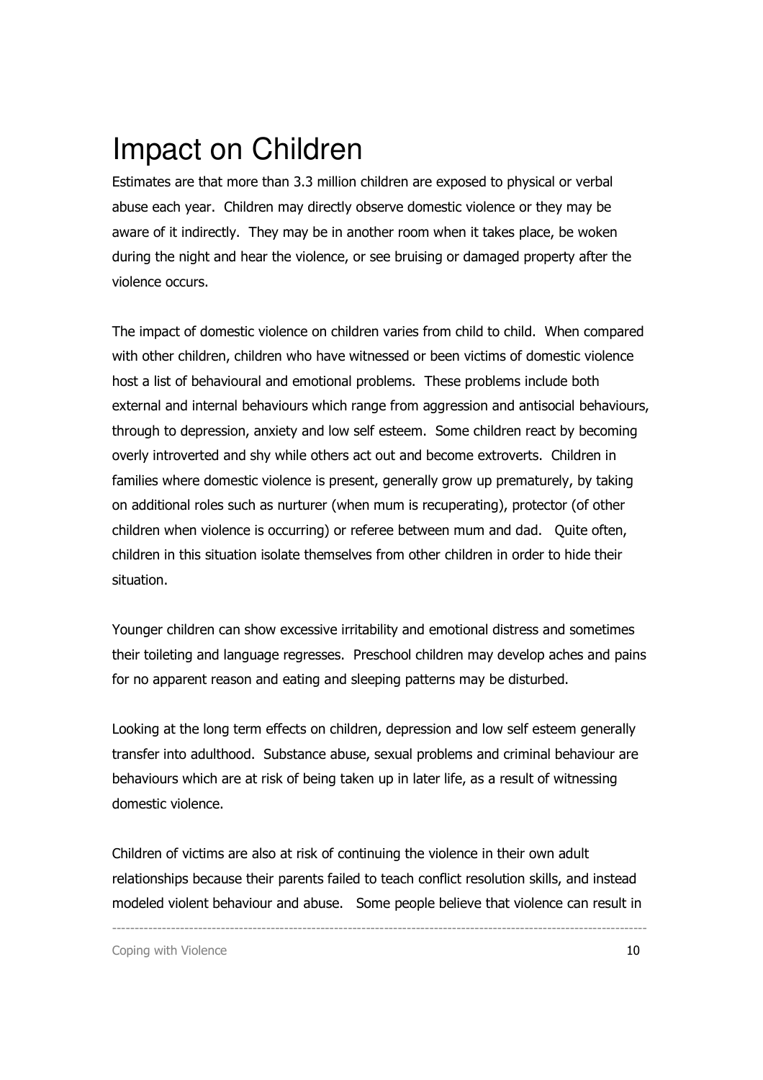### Impact on Children

Estimates are that more than 3.3 million children are exposed to physical or verbal abuse each year. Children may directly observe domestic violence or they may be aware of it indirectly. They may be in another room when it takes place, be woken during the night and hear the violence, or see bruising or damaged property after the violence occurs.

The impact of domestic violence on children varies from child to child. When compared with other children, children who have witnessed or been victims of domestic violence host a list of behavioural and emotional problems. These problems include both external and internal behaviours which range from aggression and antisocial behaviours, through to depression, anxiety and low self esteem. Some children react by becoming overly introverted and shy while others act out and become extroverts. Children in families where domestic violence is present, generally grow up prematurely, by taking on additional roles such as nurturer (when mum is recuperating), protector (of other children when violence is occurring) or referee between mum and dad. Quite often, children in this situation isolate themselves from other children in order to hide their situation.

Younger children can show excessive irritability and emotional distress and sometimes their toileting and language regresses. Preschool children may develop aches and pains for no apparent reason and eating and sleeping patterns may be disturbed.

Looking at the long term effects on children, depression and low self esteem generally transfer into adulthood. Substance abuse, sexual problems and criminal behaviour are behaviours which are at risk of being taken up in later life, as a result of witnessing domestic violence.

Children of victims are also at risk of continuing the violence in their own adult relationships because their parents failed to teach conflict resolution skills, and instead modeled violent behaviour and abuse. Some people believe that violence can result in

----------------------------------------------------------------------------------------------------------------------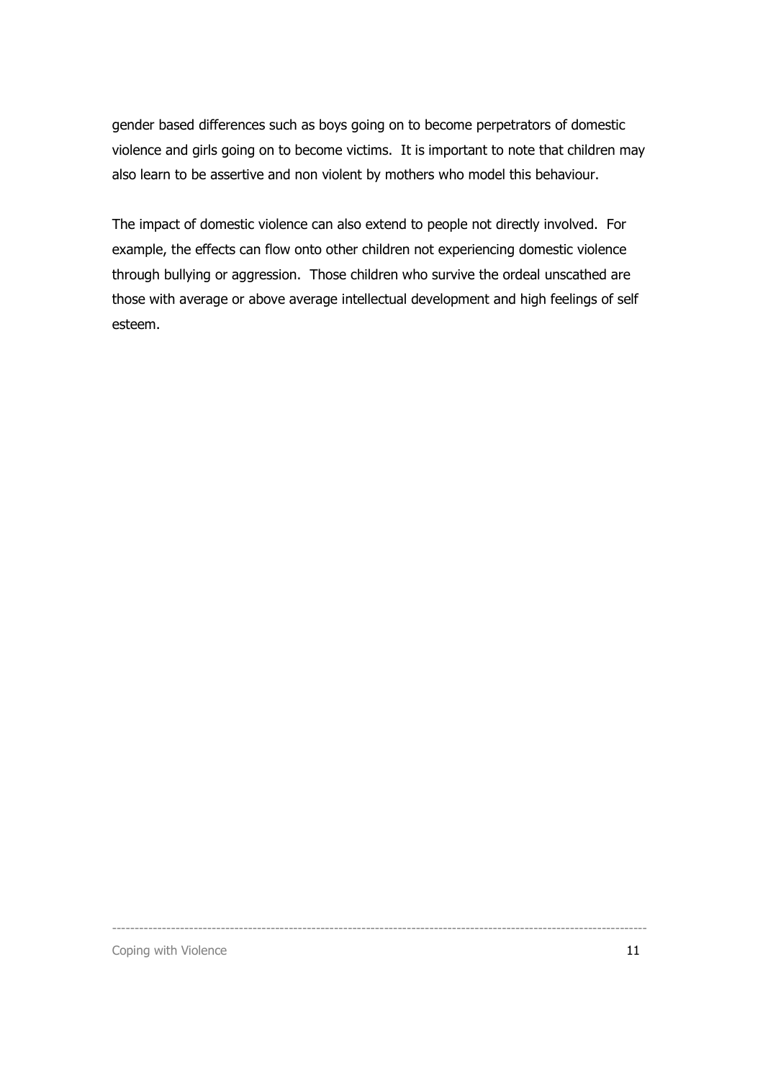gender based differences such as boys going on to become perpetrators of domestic violence and girls going on to become victims. It is important to note that children may also learn to be assertive and non violent by mothers who model this behaviour.

The impact of domestic violence can also extend to people not directly involved. For example, the effects can flow onto other children not experiencing domestic violence through bullying or aggression. Those children who survive the ordeal unscathed are those with average or above average intellectual development and high feelings of self esteem.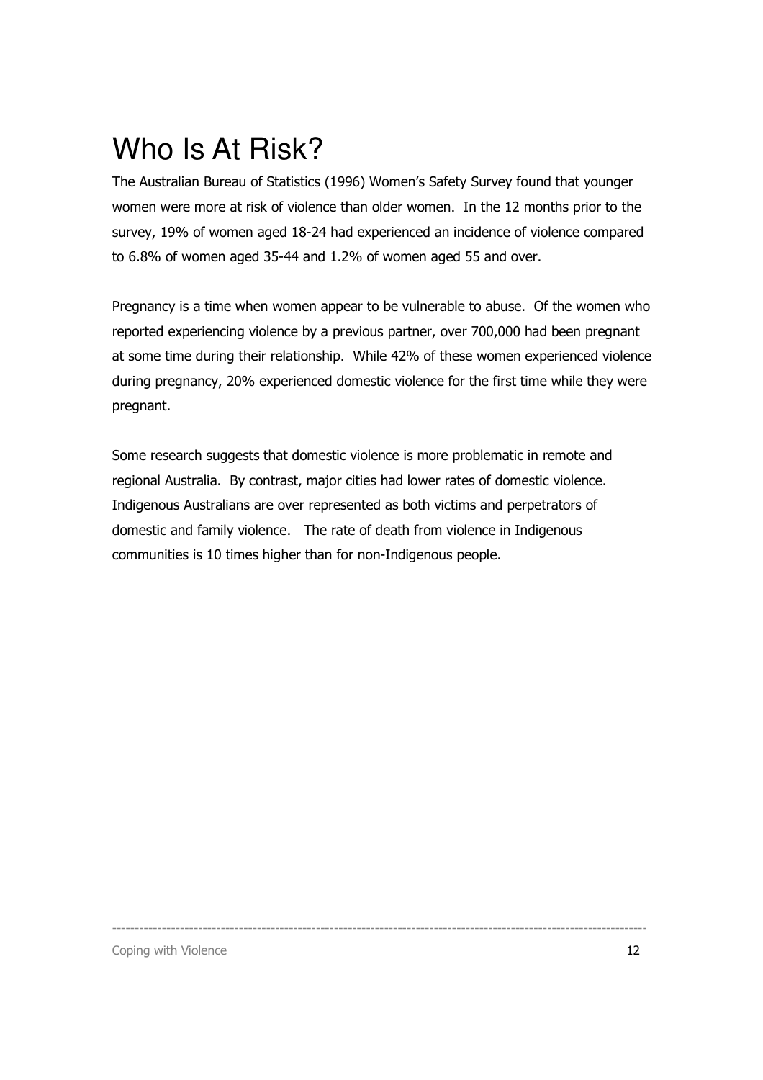### Who Is At Risk?

The Australian Bureau of Statistics (1996) Women's Safety Survey found that younger women were more at risk of violence than older women. In the 12 months prior to the survey, 19% of women aged 18-24 had experienced an incidence of violence compared to 6.8% of women aged 35-44 and 1.2% of women aged 55 and over.

Pregnancy is a time when women appear to be vulnerable to abuse. Of the women who reported experiencing violence by a previous partner, over 700,000 had been pregnant at some time during their relationship. While 42% of these women experienced violence during pregnancy, 20% experienced domestic violence for the first time while they were pregnant.

Some research suggests that domestic violence is more problematic in remote and regional Australia. By contrast, major cities had lower rates of domestic violence. Indigenous Australians are over represented as both victims and perpetrators of domestic and family violence. The rate of death from violence in Indigenous communities is 10 times higher than for non-Indigenous people.

----------------------------------------------------------------------------------------------------------------------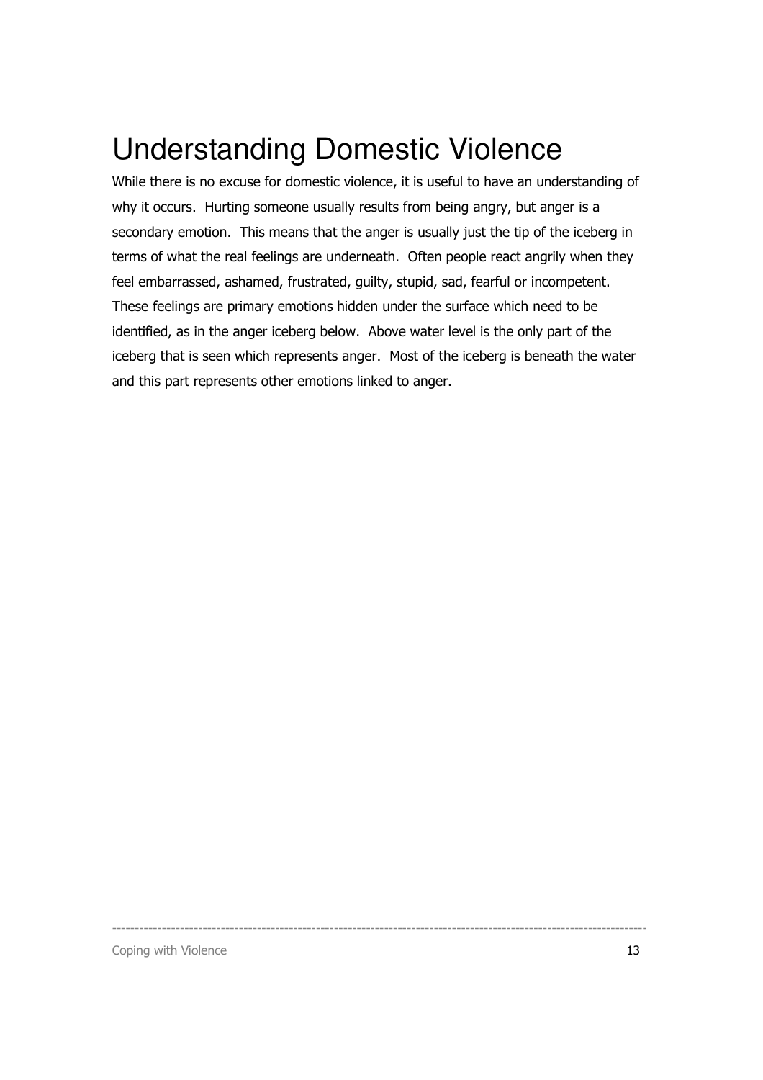### Understanding Domestic Violence

While there is no excuse for domestic violence, it is useful to have an understanding of why it occurs. Hurting someone usually results from being angry, but anger is a secondary emotion. This means that the anger is usually just the tip of the iceberg in terms of what the real feelings are underneath. Often people react angrily when they feel embarrassed, ashamed, frustrated, guilty, stupid, sad, fearful or incompetent. These feelings are primary emotions hidden under the surface which need to be identified, as in the anger iceberg below. Above water level is the only part of the iceberg that is seen which represents anger. Most of the iceberg is beneath the water and this part represents other emotions linked to anger.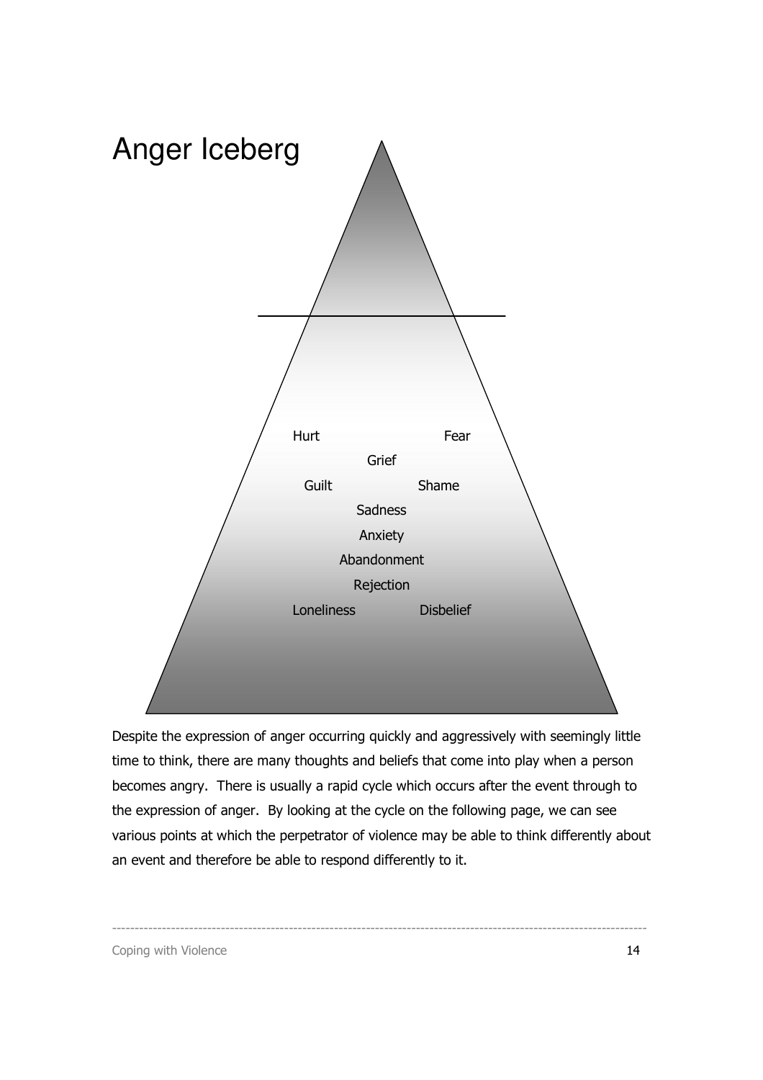

Despite the expression of anger occurring quickly and aggressively with seemingly little time to think, there are many thoughts and beliefs that come into play when a person becomes angry. There is usually a rapid cycle which occurs after the event through to the expression of anger. By looking at the cycle on the following page, we can see various points at which the perpetrator of violence may be able to think differently about an event and therefore be able to respond differently to it.

----------------------------------------------------------------------------------------------------------------------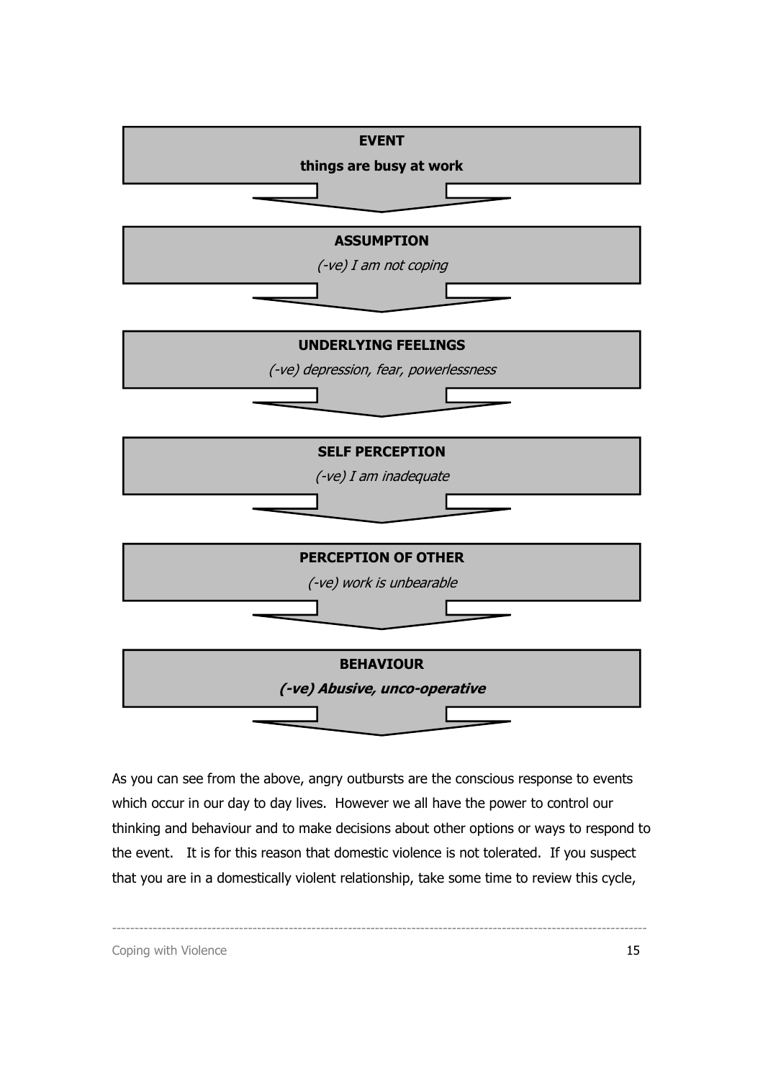

As you can see from the above, angry outbursts are the conscious response to events which occur in our day to day lives. However we all have the power to control our thinking and behaviour and to make decisions about other options or ways to respond to the event. It is for this reason that domestic violence is not tolerated. If you suspect that you are in a domestically violent relationship, take some time to review this cycle,

----------------------------------------------------------------------------------------------------------------------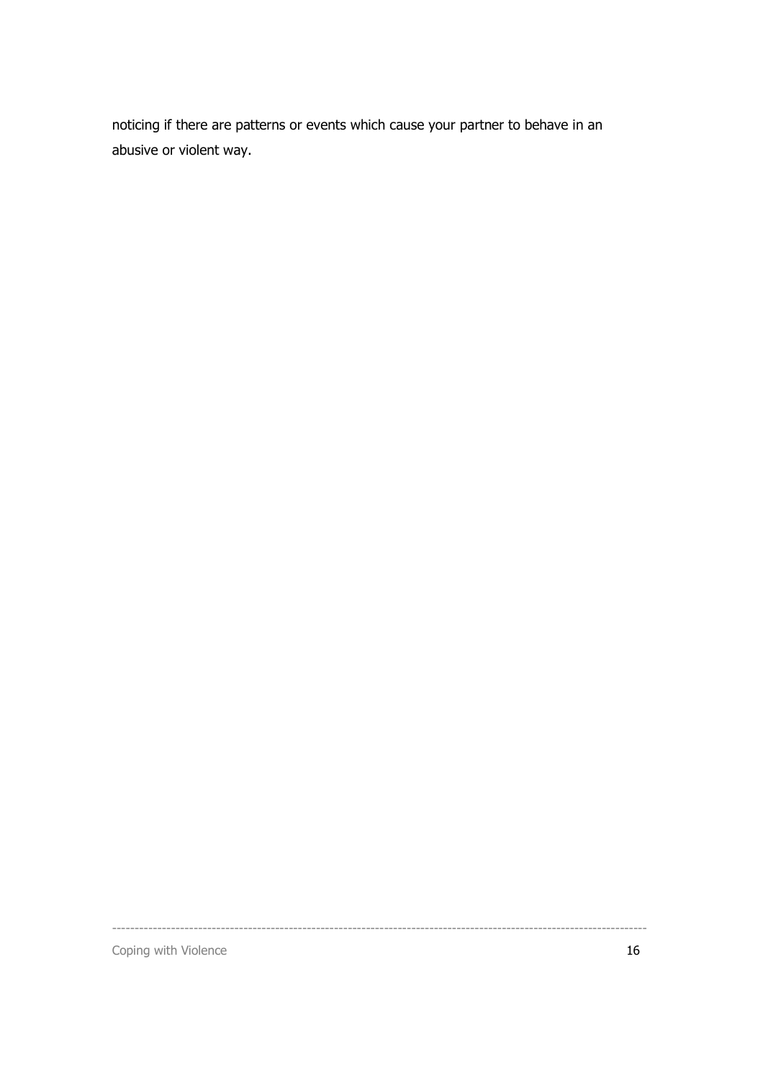noticing if there are patterns or events which cause your partner to behave in an abusive or violent way.

----------------------------------------------------------------------------------------------------------------------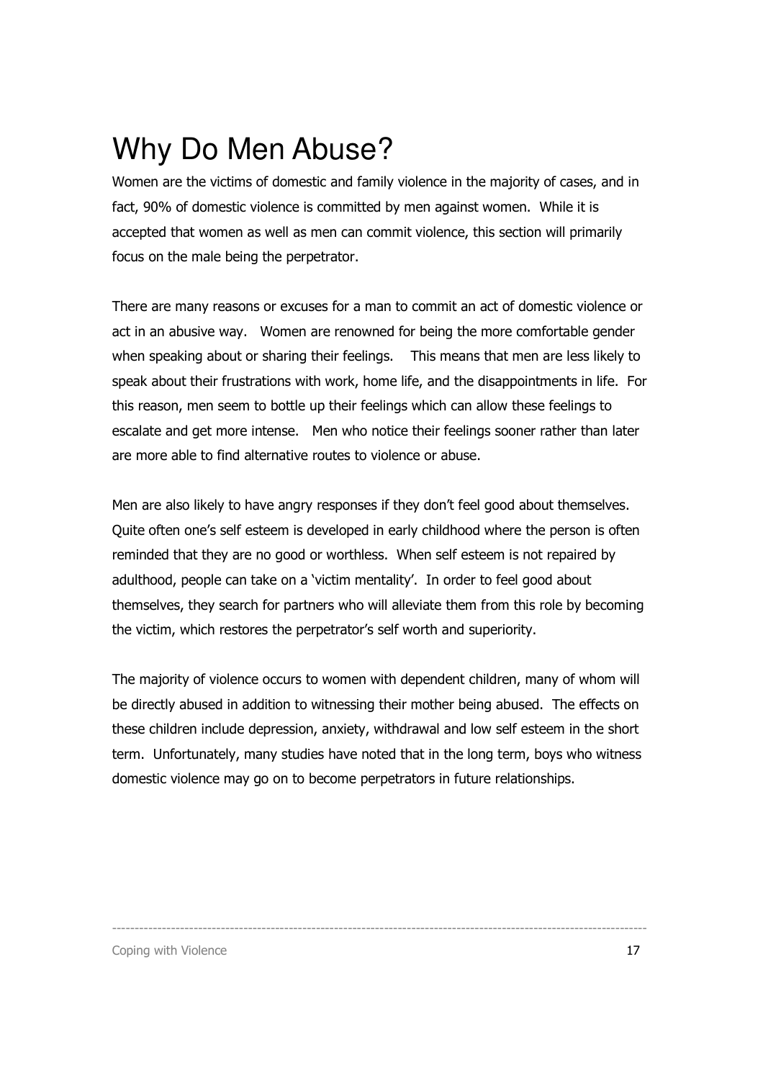### Why Do Men Abuse?

Women are the victims of domestic and family violence in the majority of cases, and in fact, 90% of domestic violence is committed by men against women. While it is accepted that women as well as men can commit violence, this section will primarily focus on the male being the perpetrator.

There are many reasons or excuses for a man to commit an act of domestic violence or act in an abusive way. Women are renowned for being the more comfortable gender when speaking about or sharing their feelings. This means that men are less likely to speak about their frustrations with work, home life, and the disappointments in life. For this reason, men seem to bottle up their feelings which can allow these feelings to escalate and get more intense. Men who notice their feelings sooner rather than later are more able to find alternative routes to violence or abuse.

Men are also likely to have angry responses if they don't feel good about themselves. Quite often one's self esteem is developed in early childhood where the person is often reminded that they are no good or worthless. When self esteem is not repaired by adulthood, people can take on a 'victim mentality'. In order to feel good about themselves, they search for partners who will alleviate them from this role by becoming the victim, which restores the perpetrator's self worth and superiority.

The majority of violence occurs to women with dependent children, many of whom will be directly abused in addition to witnessing their mother being abused. The effects on these children include depression, anxiety, withdrawal and low self esteem in the short term. Unfortunately, many studies have noted that in the long term, boys who witness domestic violence may go on to become perpetrators in future relationships.

----------------------------------------------------------------------------------------------------------------------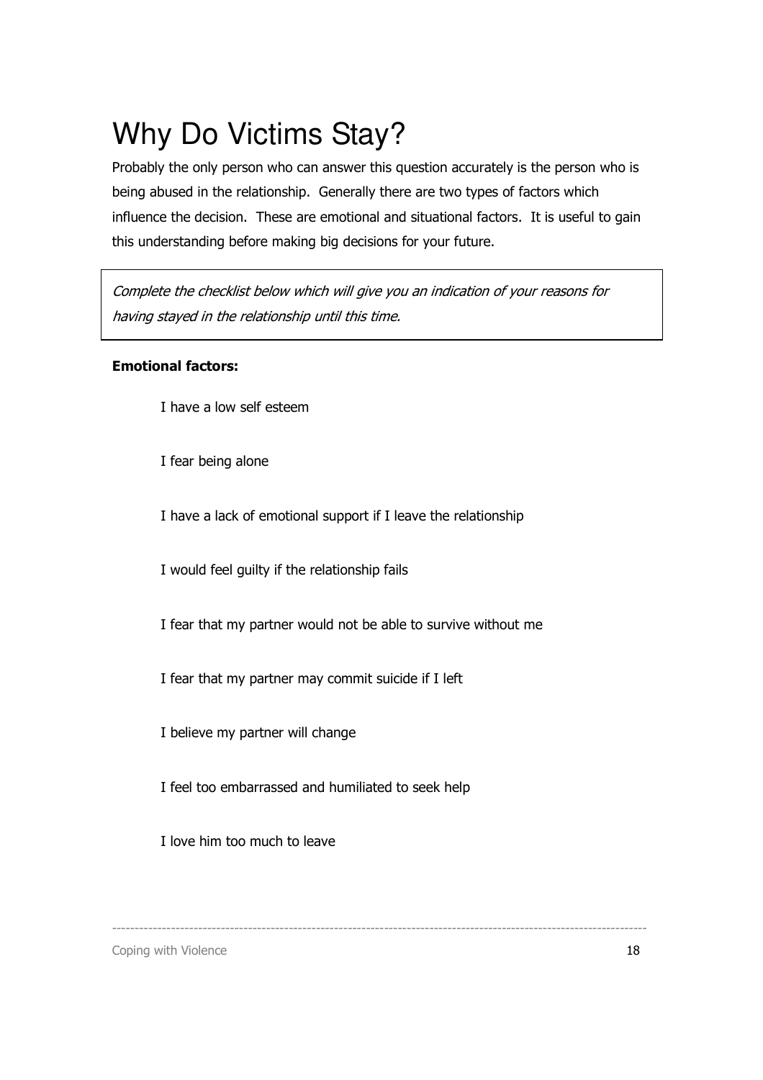## Why Do Victims Stay?

Probably the only person who can answer this question accurately is the person who is being abused in the relationship. Generally there are two types of factors which influence the decision. These are emotional and situational factors. It is useful to gain this understanding before making big decisions for your future.

Complete the checklist below which will give you an indication of your reasons for having stayed in the relationship until this time.

### Emotional factors:

I have a low self esteem

I fear being alone

I have a lack of emotional support if I leave the relationship

I would feel guilty if the relationship fails

I fear that my partner would not be able to survive without me

I fear that my partner may commit suicide if I left

I believe my partner will change

I feel too embarrassed and humiliated to seek help

I love him too much to leave

----------------------------------------------------------------------------------------------------------------------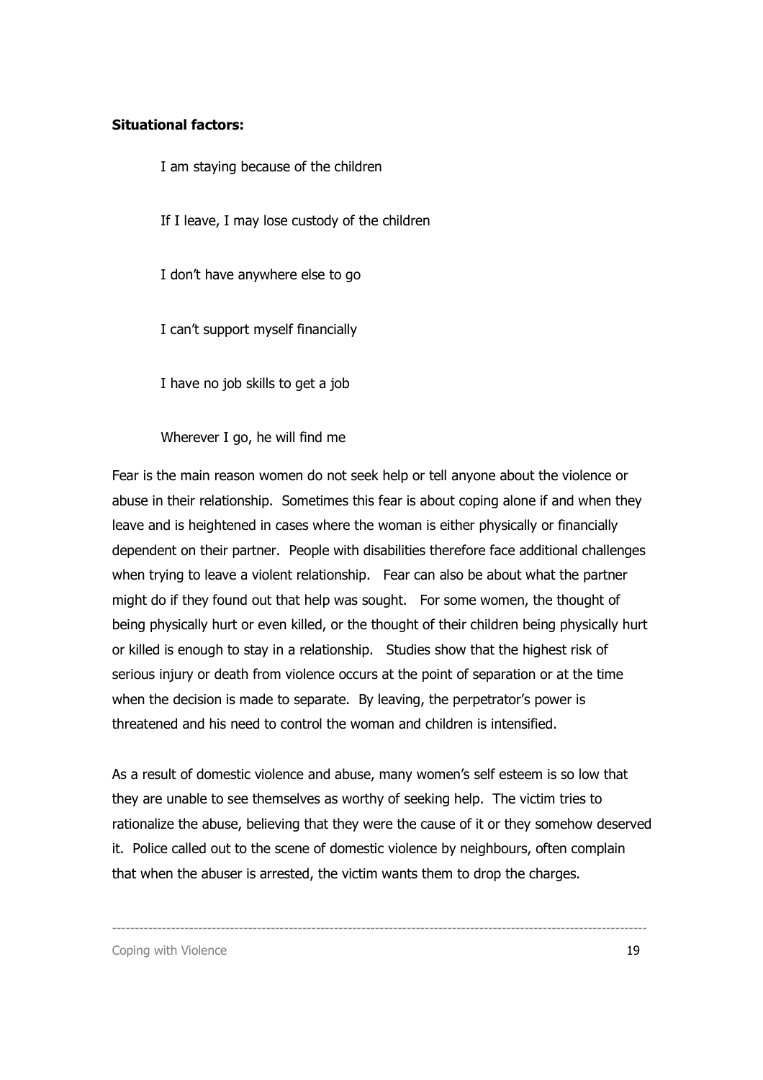#### Situational factors:

I am staying because of the children

If I leave, I may lose custody of the children

I don't have anywhere else to go

I can't support myself financially

I have no job skills to get a job

Wherever I go, he will find me

Fear is the main reason women do not seek help or tell anyone about the violence or abuse in their relationship. Sometimes this fear is about coping alone if and when they leave and is heightened in cases where the woman is either physically or financially dependent on their partner. People with disabilities therefore face additional challenges when trying to leave a violent relationship. Fear can also be about what the partner might do if they found out that help was sought. For some women, the thought of being physically hurt or even killed, or the thought of their children being physically hurt or killed is enough to stay in a relationship. Studies show that the highest risk of serious injury or death from violence occurs at the point of separation or at the time when the decision is made to separate. By leaving, the perpetrator's power is threatened and his need to control the woman and children is intensified.

As a result of domestic violence and abuse, many women's self esteem is so low that they are unable to see themselves as worthy of seeking help. The victim tries to rationalize the abuse, believing that they were the cause of it or they somehow deserved it. Police called out to the scene of domestic violence by neighbours, often complain that when the abuser is arrested, the victim wants them to drop the charges.

----------------------------------------------------------------------------------------------------------------------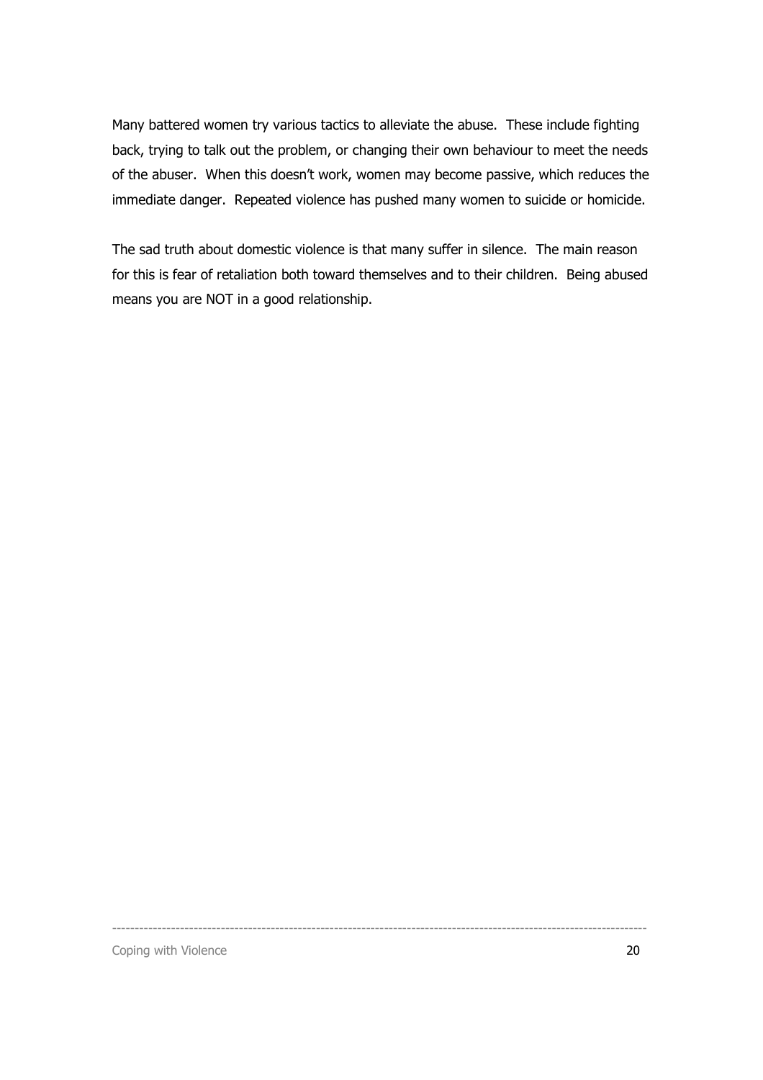Many battered women try various tactics to alleviate the abuse. These include fighting back, trying to talk out the problem, or changing their own behaviour to meet the needs of the abuser. When this doesn't work, women may become passive, which reduces the immediate danger. Repeated violence has pushed many women to suicide or homicide.

The sad truth about domestic violence is that many suffer in silence. The main reason for this is fear of retaliation both toward themselves and to their children. Being abused means you are NOT in a good relationship.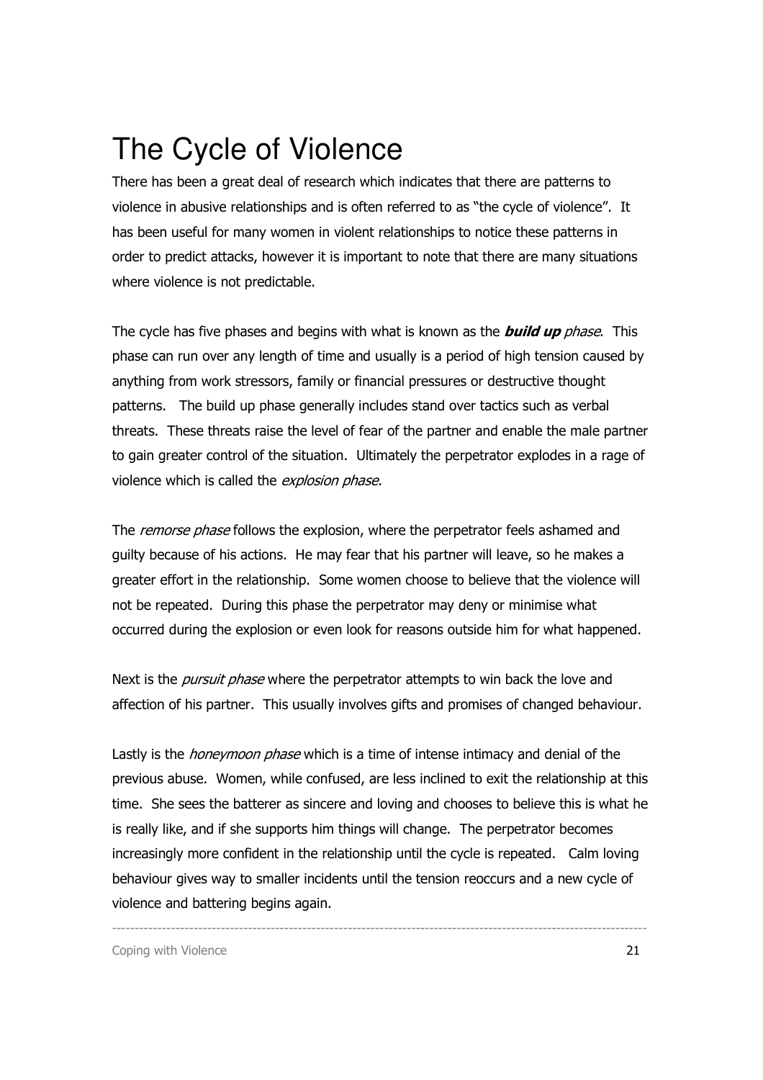### The Cycle of Violence

There has been a great deal of research which indicates that there are patterns to violence in abusive relationships and is often referred to as "the cycle of violence". It has been useful for many women in violent relationships to notice these patterns in order to predict attacks, however it is important to note that there are many situations where violence is not predictable.

The cycle has five phases and begins with what is known as the **build up** phase. This phase can run over any length of time and usually is a period of high tension caused by anything from work stressors, family or financial pressures or destructive thought patterns. The build up phase generally includes stand over tactics such as verbal threats. These threats raise the level of fear of the partner and enable the male partner to gain greater control of the situation. Ultimately the perpetrator explodes in a rage of violence which is called the explosion phase.

The remorse phase follows the explosion, where the perpetrator feels ashamed and guilty because of his actions. He may fear that his partner will leave, so he makes a greater effort in the relationship. Some women choose to believe that the violence will not be repeated. During this phase the perpetrator may deny or minimise what occurred during the explosion or even look for reasons outside him for what happened.

Next is the *pursuit phase* where the perpetrator attempts to win back the love and affection of his partner. This usually involves gifts and promises of changed behaviour.

Lastly is the *honeymoon phase* which is a time of intense intimacy and denial of the previous abuse. Women, while confused, are less inclined to exit the relationship at this time. She sees the batterer as sincere and loving and chooses to believe this is what he is really like, and if she supports him things will change. The perpetrator becomes increasingly more confident in the relationship until the cycle is repeated. Calm loving behaviour gives way to smaller incidents until the tension reoccurs and a new cycle of violence and battering begins again.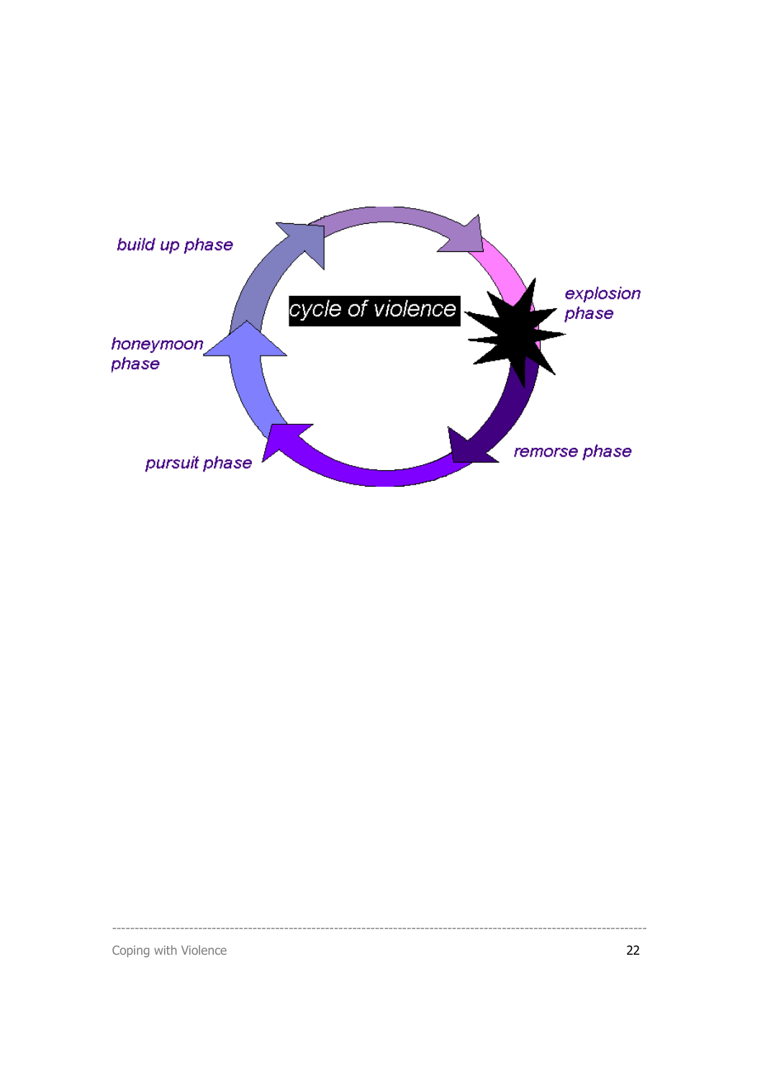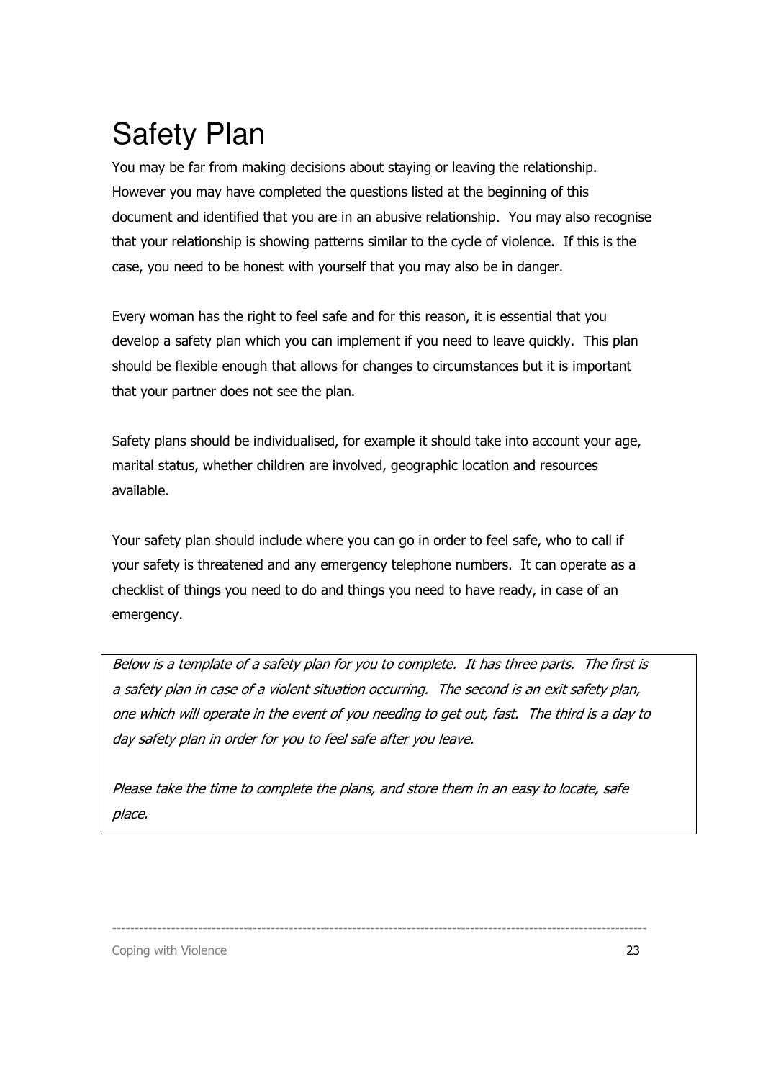## Safety Plan

You may be far from making decisions about staying or leaving the relationship. However you may have completed the questions listed at the beginning of this document and identified that you are in an abusive relationship. You may also recognise that your relationship is showing patterns similar to the cycle of violence. If this is the case, you need to be honest with yourself that you may also be in danger.

Every woman has the right to feel safe and for this reason, it is essential that you develop a safety plan which you can implement if you need to leave quickly. This plan should be flexible enough that allows for changes to circumstances but it is important that your partner does not see the plan.

Safety plans should be individualised, for example it should take into account your age, marital status, whether children are involved, geographic location and resources available.

Your safety plan should include where you can go in order to feel safe, who to call if your safety is threatened and any emergency telephone numbers. It can operate as a checklist of things you need to do and things you need to have ready, in case of an emergency.

Below is a template of a safety plan for you to complete. It has three parts. The first is a safety plan in case of a violent situation occurring. The second is an exit safety plan, one which will operate in the event of you needing to get out, fast. The third is a day to day safety plan in order for you to feel safe after you leave.

Please take the time to complete the plans, and store them in an easy to locate, safe place.

----------------------------------------------------------------------------------------------------------------------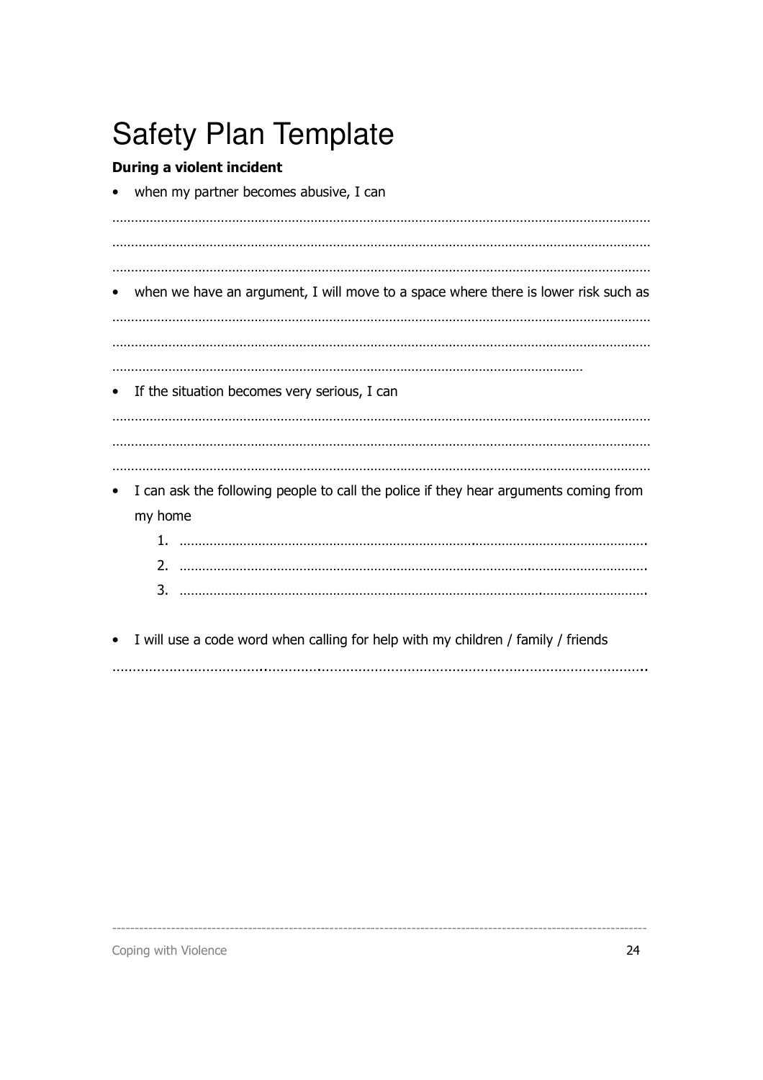## Safety Plan Template

### During a violent incident

when my partner becomes abusive, I can

……………………………………………………………………………………………………………………………… ……………………………………………………………………………………………………………………………… ……………………………………………………………………………………………………………………………… when we have an argument, I will move to a space where there is lower risk such as ……………………………………………………………………………………………………………………………… ……………………………………………………………………………………………………………………………… ……………………………………………………………………………………………………………… • If the situation becomes very serious, I can ……………………………………………………………………………………………………………………………… ……………………………………………………………………………………………………………………………… ……………………………………………………………………………………………………………………………… I can ask the following people to call the police if they hear arguments coming from my home 1. …………………………………………………………………….……………………………………….

| ∽ |  |
|---|--|
| ີ |  |

• I will use a code word when calling for help with my children / family / friends ………………………………..………….……………………………………………………………………..

----------------------------------------------------------------------------------------------------------------------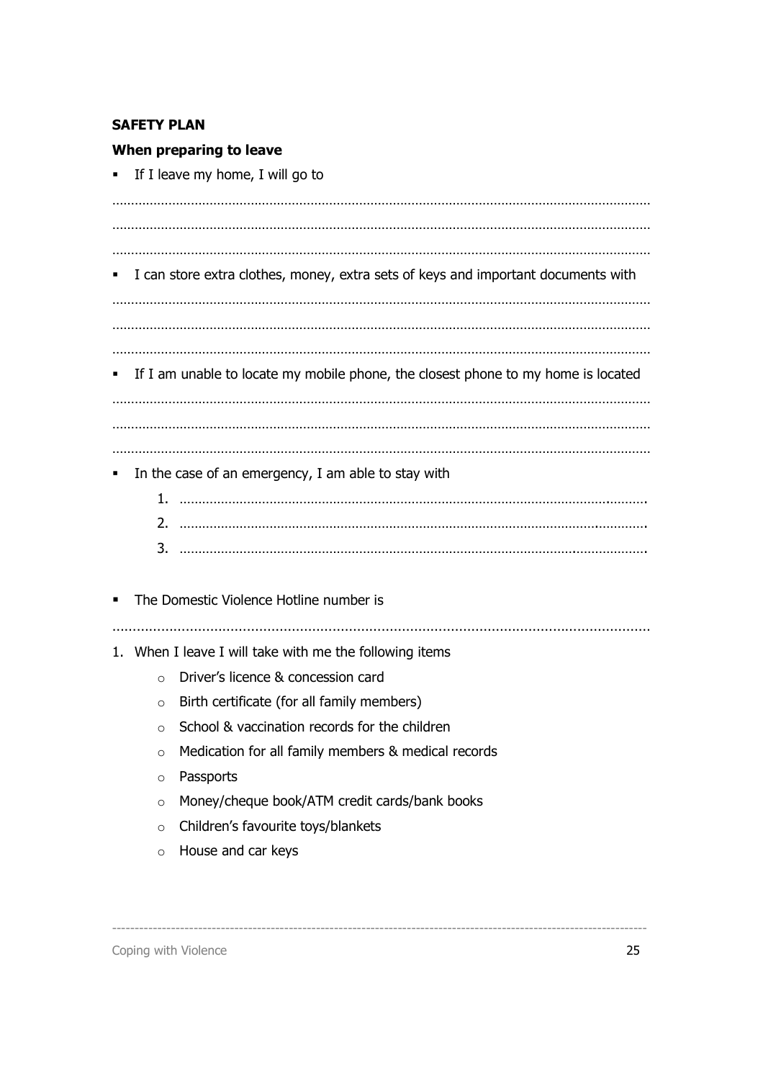#### SAFETY PLAN

#### When preparing to leave

 $\blacksquare$  If I leave my home, I will go to

……………………………………………………………………………………………………………………………… ……………………………………………………………………………………………………………………………… ……………………………………………………………………………………………………………………………… I can store extra clothes, money, extra sets of keys and important documents with ……………………………………………………………………………………………………………………………… . The contract of the contract of the contract of the contract of the contract of the contract of the contract of the contract of the contract of the contract of the contract of the contract of the contract of the contrac ……………………………………………………………………………………………………………………………… If I am unable to locate my mobile phone, the closest phone to my home is located ……………………………………………………………………………………………………………………………… ……………………………………………………………………………………………………………………………… ……………………………………………………………………………………………………………………………… In the case of an emergency, I am able to stay with 1. …………………………………………………………………………………………………….………. 2. ………………………………………………………………………………………………….…………. 3. …………………………………………………………………………………………….………………. The Domestic Violence Hotline number is …………………………………………………………………………………………………………………… 1. When I leave I will take with me the following items o Driver's licence & concession card  $\circ$  Birth certificate (for all family members) o School & vaccination records for the children o Medication for all family members & medical records o Passports o Money/cheque book/ATM credit cards/bank books o Children's favourite toys/blankets

----------------------------------------------------------------------------------------------------------------------

o House and car keys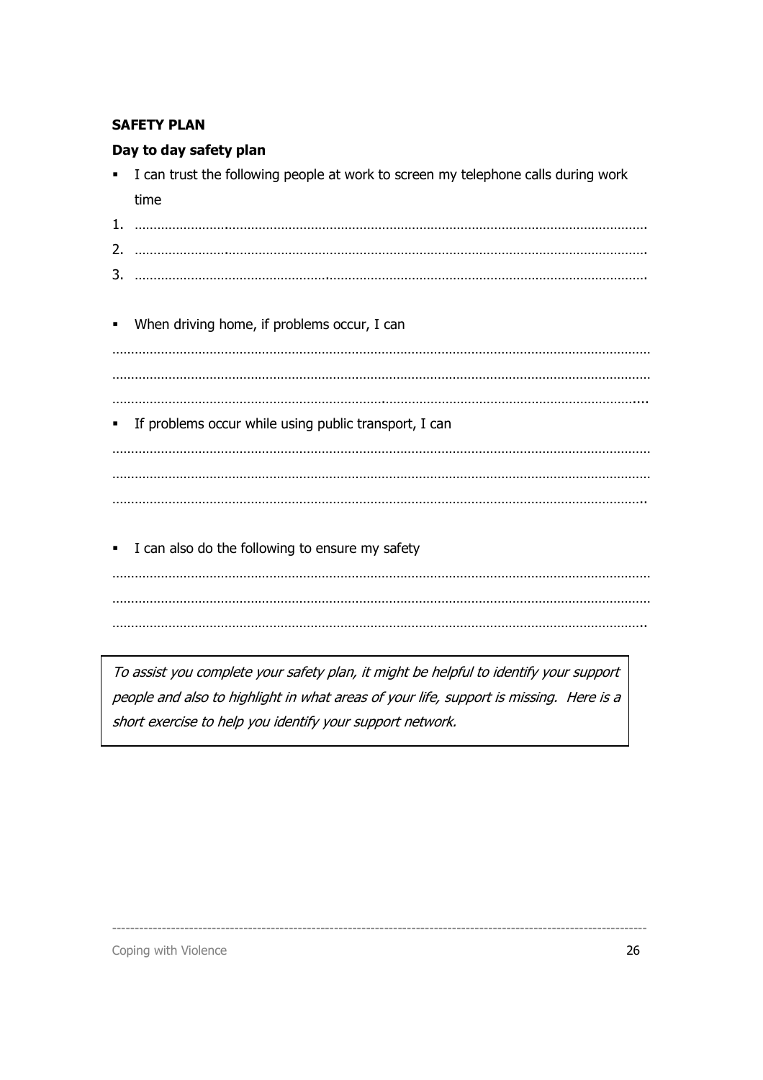#### SAFETY PLAN

#### Day to day safety plan

- I can trust the following people at work to screen my telephone calls during work time
- 1. …………………….…………………………………………………………………………………………………. 2. …………………….…………………………………………………………………………………………………. 3. …………………………………………….………………………………………………………………………….
- When driving home, if problems occur, I can ……………………………………………………………………………………………………………………………… ……………………………………………………………………………………………………………………………… ……………………………………………………………….………………………………………………………….... If problems occur while using public transport, I can ……………………………………………………………………………………………………………………………… . The same independent of the same independent of the same independent of the same independent of the same independent of the same independent of the same independent of the same independent of the same independent of the ……………………………………………………………………………………………………………………………..
- I can also do the following to ensure my safety

……………………………………………………………………………………………………………………………… ……………………………………………………………………………………………………………………………… ……………………………………………………………………………………………………………………………..

To assist you complete your safety plan, it might be helpful to identify your support people and also to highlight in what areas of your life, support is missing. Here is a short exercise to help you identify your support network.

----------------------------------------------------------------------------------------------------------------------

Coping with Violence 26 and 20 and 20 and 20 and 20 and 20 and 20 and 20 and 20 and 20 and 20 and 20 and 20 and 20 and 20 and 20 and 20 and 20 and 20 and 20 and 20 and 20 and 20 and 20 and 20 and 20 and 20 and 20 and 20 an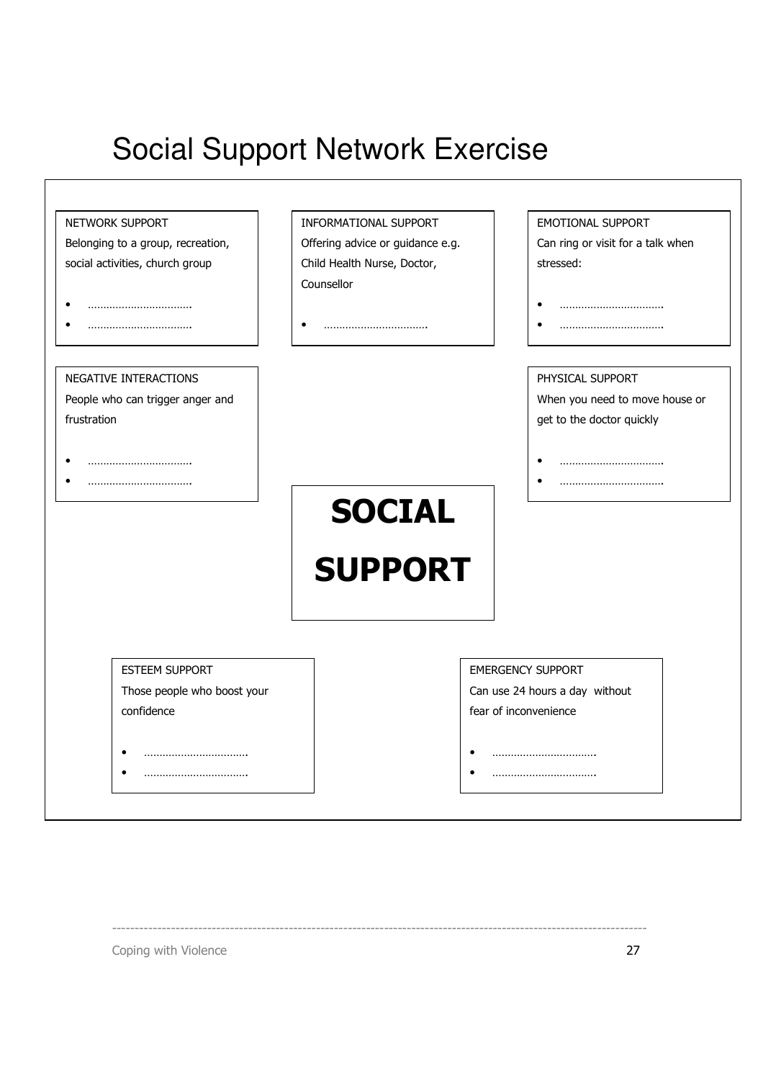## Social Support Network Exercise

| NETWORK SUPPORT                   | INFORMATIONAL SUPPORT            | EMOTIONAL SUPPORT                 |
|-----------------------------------|----------------------------------|-----------------------------------|
| Belonging to a group, recreation, | Offering advice or guidance e.g. | Can ring or visit for a talk when |
| social activities, church group   | Child Health Nurse, Doctor,      | stressed:                         |
|                                   | Counsellor                       |                                   |
|                                   |                                  |                                   |
|                                   |                                  |                                   |
| NEGATIVE INTERACTIONS             |                                  | PHYSICAL SUPPORT                  |
| People who can trigger anger and  |                                  | When you need to move house or    |
| frustration                       |                                  | get to the doctor quickly         |
|                                   |                                  |                                   |
|                                   |                                  |                                   |
|                                   | <b>SOCIAL</b>                    |                                   |
|                                   |                                  |                                   |
|                                   |                                  |                                   |
|                                   |                                  |                                   |
|                                   | <b>SUPPORT</b>                   |                                   |
|                                   |                                  |                                   |
|                                   |                                  |                                   |
| ESTEEM SUPPORT                    |                                  | <b>EMERGENCY SUPPORT</b>          |
| Those people who boost your       |                                  | Can use 24 hours a day without    |
| confidence                        |                                  | fear of inconvenience             |
|                                   |                                  |                                   |

----------------------------------------------------------------------------------------------------------------------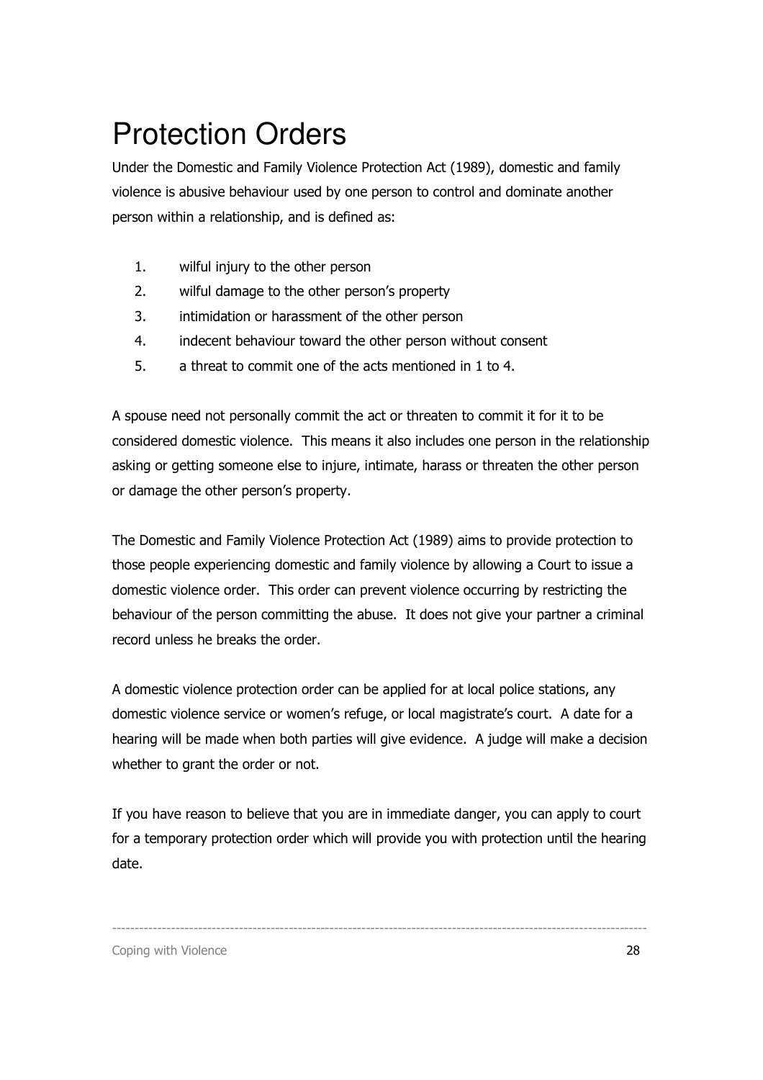## Protection Orders

Under the Domestic and Family Violence Protection Act (1989), domestic and family violence is abusive behaviour used by one person to control and dominate another person within a relationship, and is defined as:

- 1. wilful injury to the other person
- 2. wilful damage to the other person's property
- 3. intimidation or harassment of the other person
- 4. indecent behaviour toward the other person without consent
- 5. a threat to commit one of the acts mentioned in 1 to 4.

A spouse need not personally commit the act or threaten to commit it for it to be considered domestic violence. This means it also includes one person in the relationship asking or getting someone else to injure, intimate, harass or threaten the other person or damage the other person's property.

The Domestic and Family Violence Protection Act (1989) aims to provide protection to those people experiencing domestic and family violence by allowing a Court to issue a domestic violence order. This order can prevent violence occurring by restricting the behaviour of the person committing the abuse. It does not give your partner a criminal record unless he breaks the order.

A domestic violence protection order can be applied for at local police stations, any domestic violence service or women's refuge, or local magistrate's court. A date for a hearing will be made when both parties will give evidence. A judge will make a decision whether to grant the order or not.

If you have reason to believe that you are in immediate danger, you can apply to court for a temporary protection order which will provide you with protection until the hearing date.

----------------------------------------------------------------------------------------------------------------------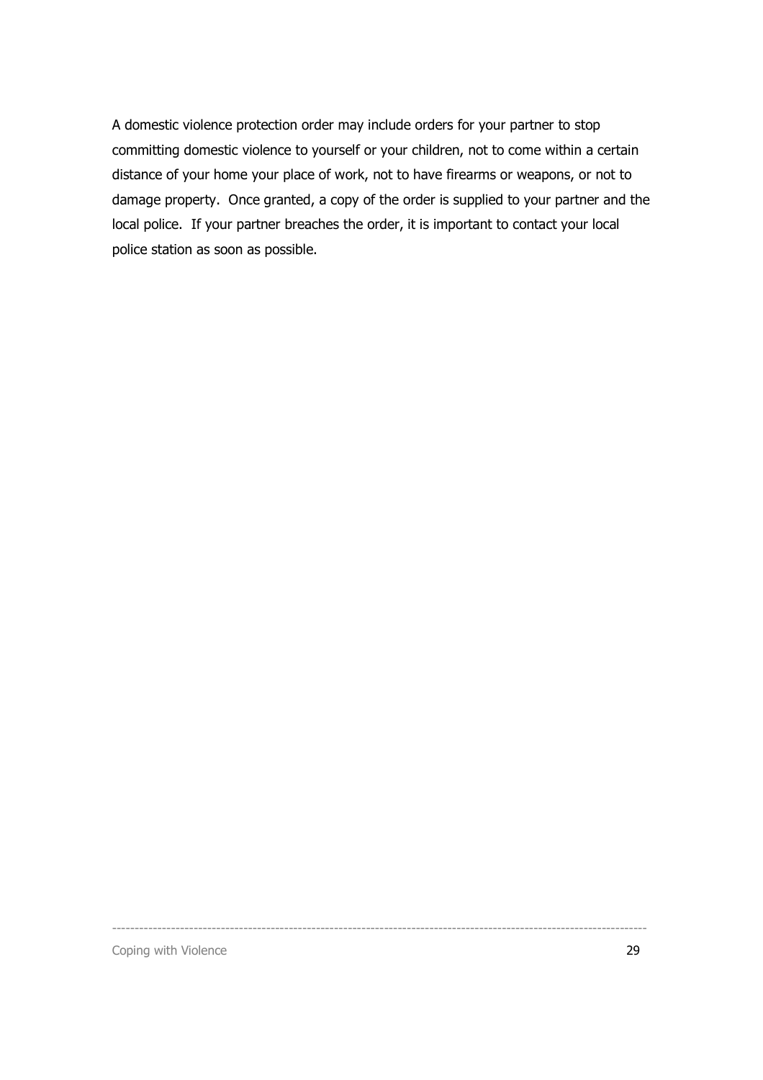A domestic violence protection order may include orders for your partner to stop committing domestic violence to yourself or your children, not to come within a certain distance of your home your place of work, not to have firearms or weapons, or not to damage property. Once granted, a copy of the order is supplied to your partner and the local police. If your partner breaches the order, it is important to contact your local police station as soon as possible.

----------------------------------------------------------------------------------------------------------------------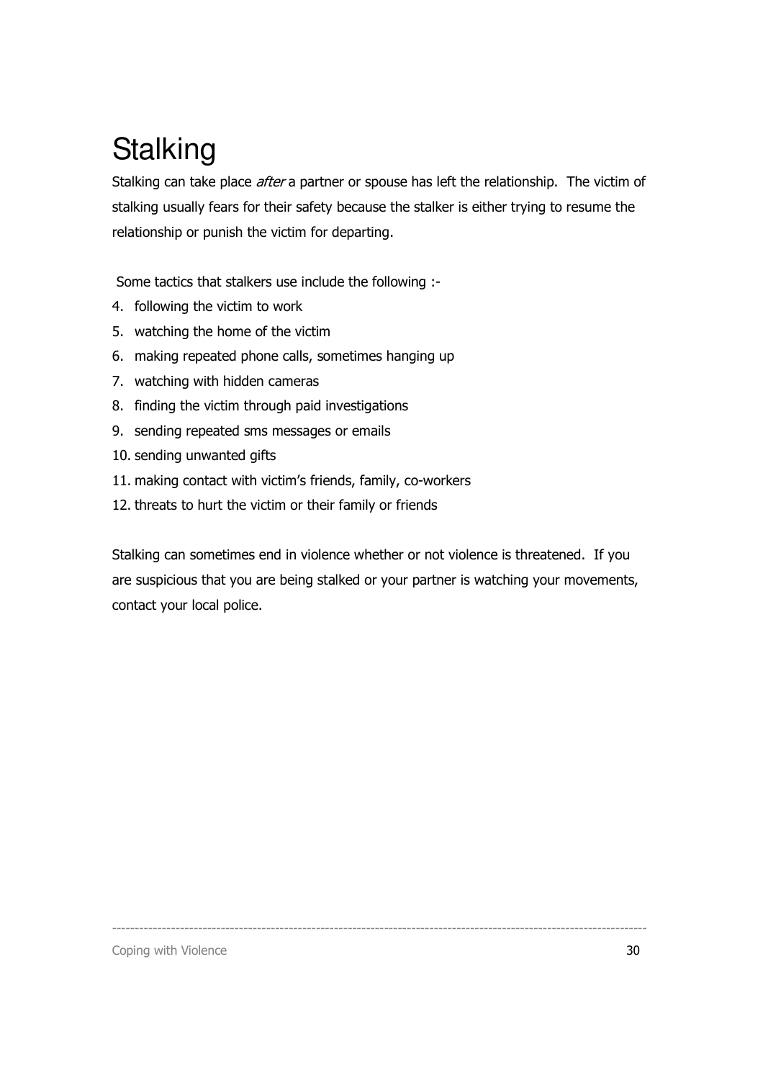## **Stalking**

Stalking can take place *after* a partner or spouse has left the relationship. The victim of stalking usually fears for their safety because the stalker is either trying to resume the relationship or punish the victim for departing.

Some tactics that stalkers use include the following :-

- 4. following the victim to work
- 5. watching the home of the victim
- 6. making repeated phone calls, sometimes hanging up
- 7. watching with hidden cameras
- 8. finding the victim through paid investigations
- 9. sending repeated sms messages or emails
- 10. sending unwanted gifts
- 11. making contact with victim's friends, family, co-workers
- 12. threats to hurt the victim or their family or friends

Stalking can sometimes end in violence whether or not violence is threatened. If you are suspicious that you are being stalked or your partner is watching your movements, contact your local police.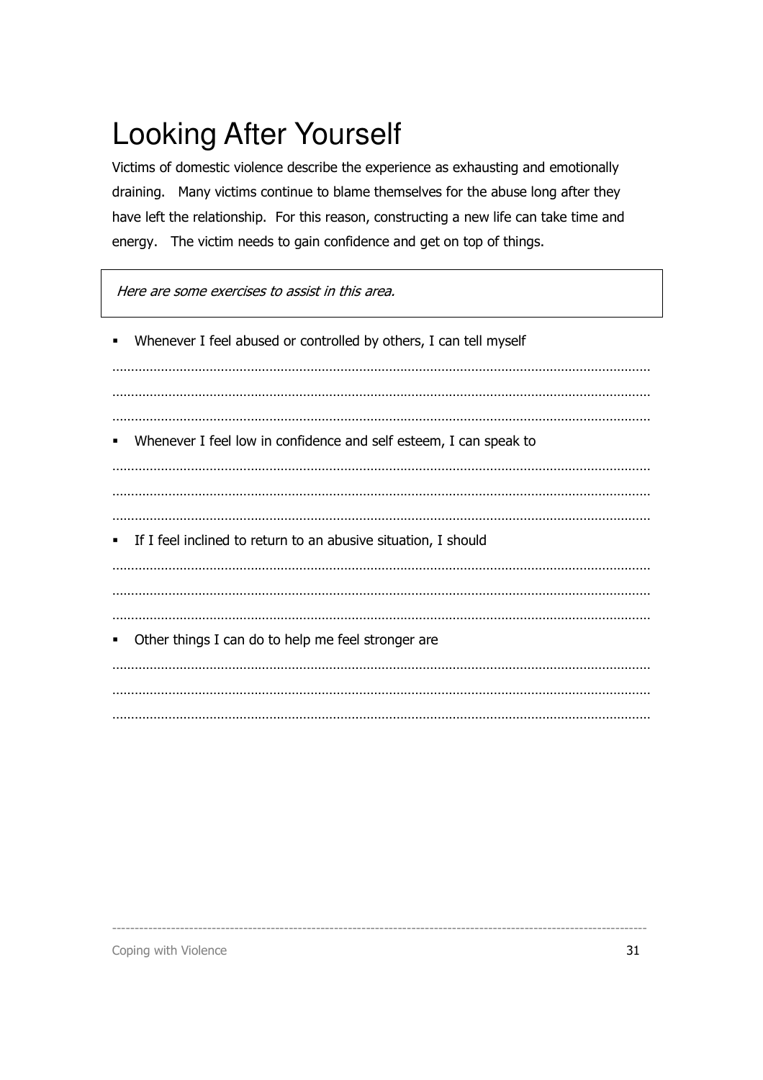## Looking After Yourself

Victims of domestic violence describe the experience as exhausting and emotionally draining. Many victims continue to blame themselves for the abuse long after they have left the relationship. For this reason, constructing a new life can take time and energy. The victim needs to gain confidence and get on top of things.

Here are some exercises to assist in this area.

-

| $\blacksquare$ | Whenever I feel abused or controlled by others, I can tell myself |
|----------------|-------------------------------------------------------------------|
|                |                                                                   |
|                |                                                                   |
| $\blacksquare$ | Whenever I feel low in confidence and self esteem, I can speak to |
|                |                                                                   |
|                |                                                                   |
|                | • If I feel inclined to return to an abusive situation, I should  |
|                |                                                                   |
|                |                                                                   |
| ٠              | Other things I can do to help me feel stronger are                |
|                |                                                                   |
|                |                                                                   |
|                |                                                                   |

----------------------------------------------------------------------------------------------------------------------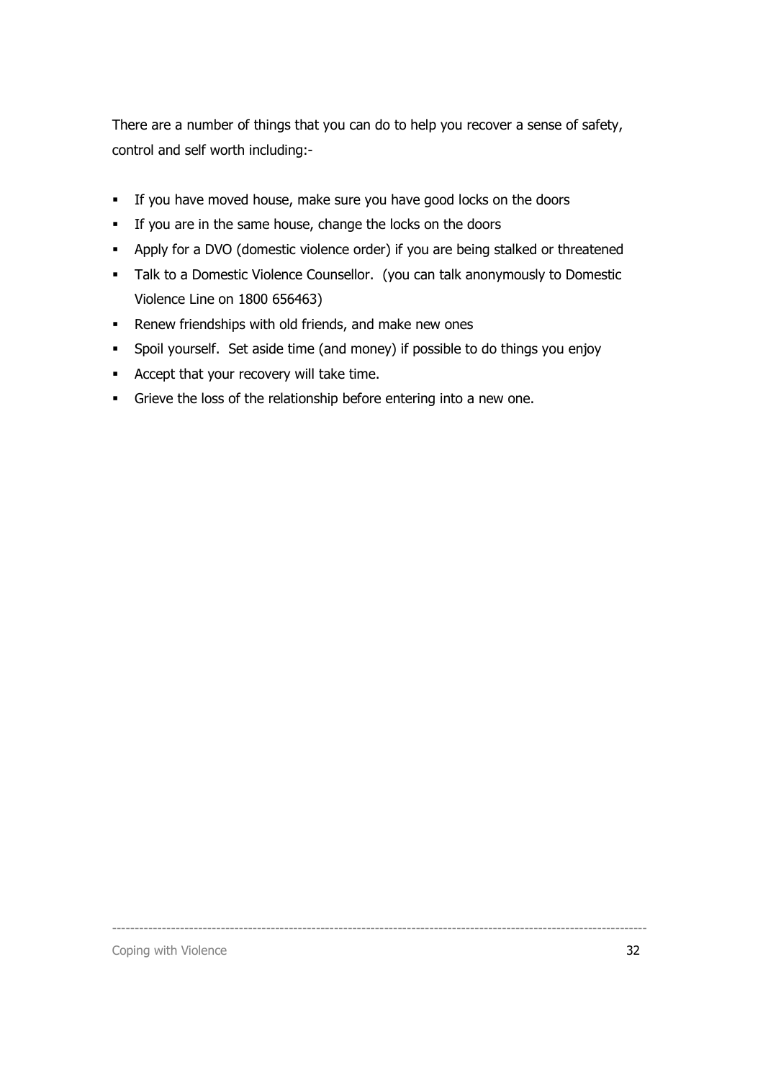There are a number of things that you can do to help you recover a sense of safety, control and self worth including:-

- If you have moved house, make sure you have good locks on the doors
- If you are in the same house, change the locks on the doors
- Apply for a DVO (domestic violence order) if you are being stalked or threatened
- **Talk to a Domestic Violence Counsellor.** (you can talk anonymously to Domestic Violence Line on 1800 656463)
- **Renew friendships with old friends, and make new ones**
- Spoil yourself. Set aside time (and money) if possible to do things you enjoy

- Accept that your recovery will take time.
- Grieve the loss of the relationship before entering into a new one.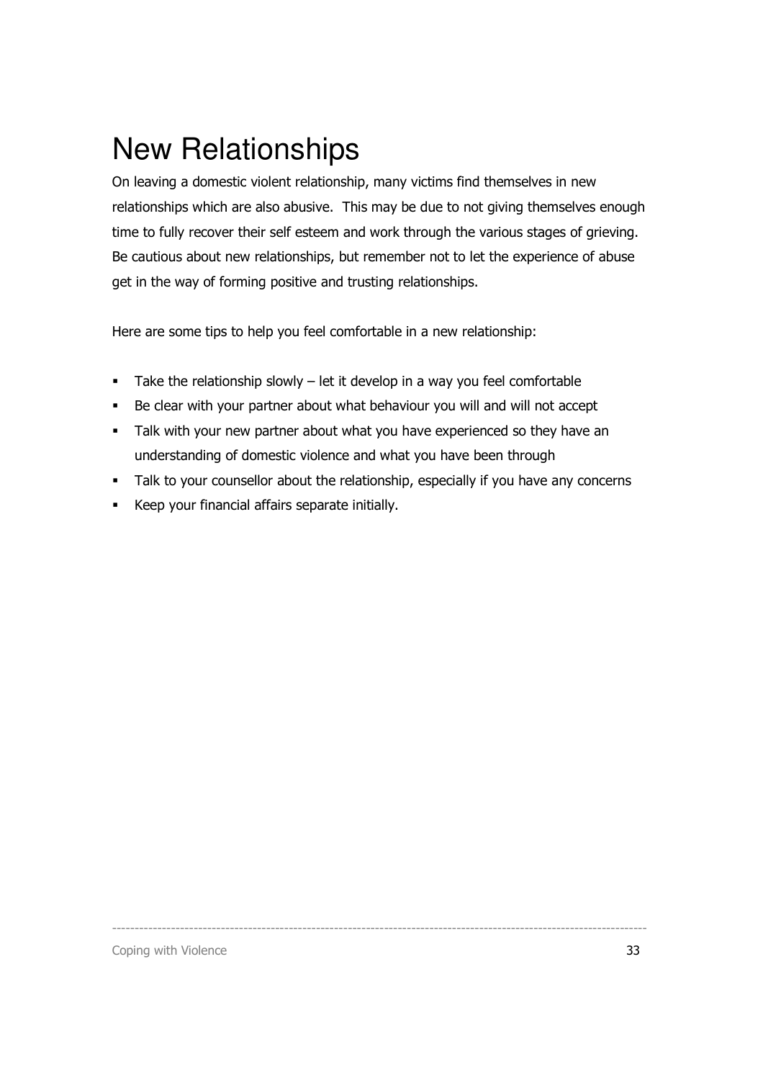### New Relationships

On leaving a domestic violent relationship, many victims find themselves in new relationships which are also abusive. This may be due to not giving themselves enough time to fully recover their self esteem and work through the various stages of grieving. Be cautious about new relationships, but remember not to let the experience of abuse get in the way of forming positive and trusting relationships.

Here are some tips to help you feel comfortable in a new relationship:

- Take the relationship slowly  $-$  let it develop in a way you feel comfortable
- Be clear with your partner about what behaviour you will and will not accept
- Talk with your new partner about what you have experienced so they have an understanding of domestic violence and what you have been through
- Talk to your counsellor about the relationship, especially if you have any concerns

----------------------------------------------------------------------------------------------------------------------

Keep your financial affairs separate initially.